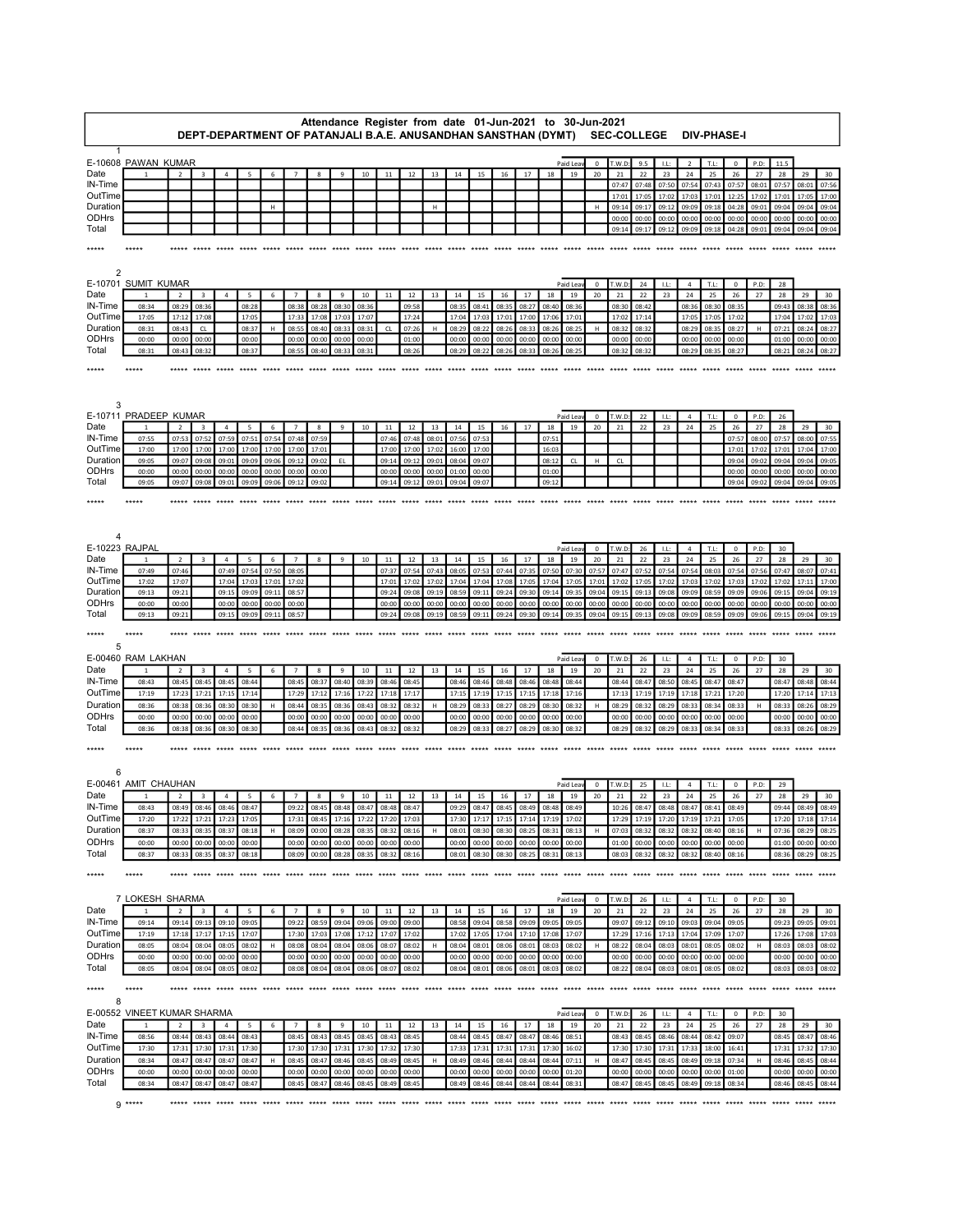|                     | Attendance Register from date 01-Jun-2021 to 30-Jun-2021<br>DEPT-DEPARTMENT OF PATANJALI B.A.E. ANUSANDHAN SANSTHAN (DYMT) |                |                         |                |                 |                |                |                |                |                |                |                |                |                |                |                |                |                | <b>SEC-COLLEGE</b> |                   |                |                |           | <b>DIV-PHASE-I</b>   |                |                    |                |                 |                   |                |
|---------------------|----------------------------------------------------------------------------------------------------------------------------|----------------|-------------------------|----------------|-----------------|----------------|----------------|----------------|----------------|----------------|----------------|----------------|----------------|----------------|----------------|----------------|----------------|----------------|--------------------|-------------------|----------------|----------------|-----------|----------------------|----------------|--------------------|----------------|-----------------|-------------------|----------------|
|                     |                                                                                                                            |                |                         |                |                 |                |                |                |                |                |                |                |                |                |                |                |                |                |                    |                   |                |                |           |                      |                |                    |                |                 |                   |                |
| Date                | E-10608 PAWAN KUMAR                                                                                                        | $\overline{2}$ | 3                       | 4              | 5               | 6              |                | 8              | 9              | 10             | $11\,$         | 12             | 13             | 14             | 15             | $16\,$         | 17             | 18             | Paid Lea<br>19     | $\mathbf 0$<br>20 | T.W.D:<br>21   | 9.5<br>22      | LL:<br>23 | $\overline{2}$<br>24 | T.L:<br>25     | $\mathbf 0$<br>26  | P.D:<br>27     | 11.5<br>28      | 29                | 30             |
| IN-Time             |                                                                                                                            |                |                         |                |                 |                |                |                |                |                |                |                |                |                |                |                |                |                |                    |                   | 07:47          | 07:48          | 07:50     | 07:54                | 07:43          | 07:57              | 08:01          | 07:57           | 08:01             | 07:56          |
| OutTime             |                                                                                                                            |                |                         |                |                 |                |                |                |                |                |                |                |                |                |                |                |                |                |                    |                   | 17:01          | 17:05          | 17:02     | 17:03                | 17:01          | 12:25              | 17:02          | 17:01           | 17:0              | 17:00          |
| Duration            |                                                                                                                            |                |                         |                |                 | н              |                |                |                |                |                |                | $\mathsf H$    |                |                |                |                |                |                    | H                 | 09:14          | 09:17          | 09:12     | 09:09                | 09:18          | 04:28              | 09:01          | 09:04           | 09:04             | 09:04          |
| ODHrs               |                                                                                                                            |                |                         |                |                 |                |                |                |                |                |                |                |                |                |                |                |                |                |                    |                   | 00:00          | 00:00          | 00:00     | 00:00                | 00:00          | 00:00              | 00:00          | 00:00           | 00:00             | 00:00          |
| Total               |                                                                                                                            |                |                         |                |                 |                |                |                |                |                |                |                |                |                |                |                |                |                |                    |                   | 09:14          | 09:17          | 09:12     | 09:09                | 09:18          | 04:28              | 09:01          | 09:04           | 09:04             | 09:04          |
| *****               |                                                                                                                            |                |                         |                |                 |                |                |                |                |                |                |                |                |                |                |                |                |                |                    |                   |                |                |           |                      |                |                    |                |                 |                   |                |
|                     |                                                                                                                            |                |                         |                |                 |                |                |                |                |                |                |                |                |                |                |                |                |                |                    |                   |                |                |           |                      |                |                    |                |                 |                   |                |
| 2                   |                                                                                                                            |                |                         |                |                 |                |                |                |                |                |                |                |                |                |                |                |                |                |                    |                   |                |                |           |                      |                |                    |                |                 |                   |                |
|                     | E-10701 SUMIT KUMAR                                                                                                        |                |                         |                |                 |                |                |                |                |                |                |                |                |                |                |                |                |                | Paid Lea           | $\mathbf 0$       | T.W.D          | 24             | LL:       | $\overline{4}$       | T.L:           | $\mathbf 0$        | P.D:           | 28              |                   |                |
| Date                |                                                                                                                            | $\overline{2}$ | $\overline{\mathbf{3}}$ | 4              | 5               | 6              |                | 8              | 9              | $10\,$         | $11\,$         | 12             | 13             | 14             | 15             | 16             | 17             | 18             | 19                 | 20                | 21             | 22             | 23        | 24                   | 25             | 26                 | 27             | 28              | 29                | 30             |
| IN-Time<br>OutTime  | 08:34<br>17:05                                                                                                             | 08:29<br>17:12 | 08:36<br>17:08          |                | 08:28<br>17:05  |                | 08:38<br>17:33 | 08:28<br>17:08 | 08:30<br>17:03 | 08:36<br>17:07 |                | 09:58<br>17:24 |                | 08:35<br>17:04 | 08:41<br>17:03 | 08:35<br>17:01 | 08:27<br>17:00 | 08:40<br>17:06 | 08:36<br>17:01     |                   | 08:30<br>17:02 | 08:42<br>17:14 |           | 08:36<br>17:05       | 08:30<br>17:05 | 08:35<br>17:02     |                | 09:43<br>17:04  | 08:38<br>17:02    | 08:36<br>17:03 |
| Duration            | 08:31                                                                                                                      | 08:43          | CL                      |                | 08:37           | н              | 08:55          | 08:40          | 08:33          | 08:31          | CL             | 07:26          | $\mathsf H$    | 08:29          | 08:22          | 08:26          | 08:33          | 08:26          | 08:25              | H                 | 08:32          | 08:32          |           | 08:29                | 08:35          | 08:27              | H              | 07:21           | 08:24             | 08:27          |
| ODHrs               | 00:00                                                                                                                      | 00:00          | 00:00                   |                | 00:00           |                | 00:00          | 00:00          | 00:00          | 00:00          |                | 01:00          |                | 00:00          | 00:00          | 00:00          | 00:00          | 00:00          | 00:00              |                   | 00:00          | 00:00          |           | 00:00                | 00:00          | 00:00              |                | 01:00           | 00:00             | 00:00          |
| Total               | 08:31                                                                                                                      | 08:43          | 08:32                   |                | 08:37           |                | 08:55          | 08:40          | 08:33          | 08:31          |                | 08:26          |                | 08:29          | 08:22          | 08:26          | 08:33          | 08:26          | 08:25              |                   | 08:32          | 08:32          |           | 08:29                | 08:35          | 08:27              |                | 08:21           | 08:24             | 08:27          |
| *****               |                                                                                                                            |                |                         |                |                 |                |                |                |                |                |                |                |                |                |                |                |                |                |                    |                   |                |                |           |                      |                |                    |                |                 |                   |                |
|                     |                                                                                                                            |                |                         |                |                 |                |                |                |                |                |                |                |                |                |                |                |                |                |                    |                   |                |                |           |                      |                |                    |                |                 |                   |                |
|                     |                                                                                                                            |                |                         |                |                 |                |                |                |                |                |                |                |                |                |                |                |                |                |                    |                   |                |                |           |                      |                |                    |                |                 |                   |                |
| 3                   |                                                                                                                            |                |                         |                |                 |                |                |                |                |                |                |                |                |                |                |                |                |                |                    |                   |                |                |           |                      |                |                    |                |                 |                   |                |
|                     | E-10711 PRADEEP KUMAR                                                                                                      |                |                         |                |                 |                |                |                |                |                |                |                |                |                |                |                |                |                | Paid Lea           | 0                 | T.W.D          | 22             | LL:       | $\sqrt{4}$           | T.L:           | $\mathbf 0$        | P.D:           | 26              |                   |                |
| Date                |                                                                                                                            | $\overline{2}$ | $\mathbf{3}$            | $\overline{a}$ | $5\phantom{.0}$ | 6              | $\overline{7}$ | $\mathbf{R}$   | $\mathbf{q}$   | 10             | 11             | 12             | 13             | 14             | 15             | 16             | 17             | 18             | 19                 | 20                | 21             | 22             | 23        | 24                   | 25             | 26                 | 27             | 28              | 29                | 30             |
| IN-Time             | 07:55                                                                                                                      | 07:53          | 07:52                   | 07:59          | 07:51           | 07:54          | 07:48          | 07:59          |                |                | 07:46          | 07:48          | 08:01          | 07:56          | 07:53          |                |                | 07:51          |                    |                   |                |                |           |                      |                | 07:57              | 08:00          | 07:57           | 08:00             | 07:55          |
| OutTime             | 17:00                                                                                                                      | 17:00          | 17:00                   | 17:00          | 17:00           | 17:00          | 17:00          | 17:01          |                |                | 17:00          | 17:00          | 17:02          | 16:00          | 17:00          |                |                | 16:03          |                    |                   |                |                |           |                      |                | 17:01              | 17:02          | 17:01           | 17:04             | 17:00          |
| Duration<br>ODHrs   | 09:05<br>00:00                                                                                                             | 09:07          | 09:08<br>00:00          | 09:01<br>00:00 | 09:09<br>00:00  | 09:06<br>00:00 | 09:12          | 09:02          | EL             |                | 09:14<br>00:00 | 09:12<br>00:00 | 09:01<br>00:00 | 08:04<br>01:00 | 09:07          |                |                | 08:12<br>01:00 | CL                 | H                 | CL             |                |           |                      |                | 09:04<br>00:00     | 09:02<br>00:00 | 09:04<br>00:00  | 09:04<br>00:00    | 09:05<br>00:00 |
| Total               | 09:05                                                                                                                      | 00:00<br>09:07 | 09:08                   | 09:01          | 09:09           | 09:06          | 00:00<br>09:12 | 00:00<br>09:02 |                |                | 09:14          | 09:12          | 09:01          | 09:04          | 00:00<br>09:07 |                |                | 09:12          |                    |                   |                |                |           |                      |                | 09:04              | 09:02          | 09:04           | 09:04             | 09:05          |
|                     |                                                                                                                            |                |                         |                |                 |                |                |                |                |                |                |                |                |                |                |                |                |                |                    |                   |                |                |           |                      |                |                    |                |                 |                   |                |
| *****               |                                                                                                                            |                |                         |                |                 |                |                |                |                |                | $****$         | *****          |                |                |                |                |                | *****          | $****$             |                   |                |                |           |                      |                |                    |                |                 |                   |                |
|                     |                                                                                                                            |                |                         |                |                 |                |                |                |                |                |                |                |                |                |                |                |                |                |                    |                   |                |                |           |                      |                |                    |                |                 |                   |                |
|                     |                                                                                                                            |                |                         |                |                 |                |                |                |                |                |                |                |                |                |                |                |                |                |                    |                   |                |                |           |                      |                |                    |                |                 |                   |                |
| 4<br>E-10223 RAJPAL |                                                                                                                            |                |                         |                |                 |                |                |                |                |                |                |                |                |                |                |                |                |                |                    |                   |                |                |           |                      |                |                    |                |                 |                   |                |
| Date                |                                                                                                                            | $\overline{2}$ | $\overline{3}$          | $\overline{4}$ | $5\phantom{.0}$ | 6              | $\overline{7}$ | 8              | 9              | 10             | 11             | 12             | 13             | 14             | 15             | 16             | 17             | 18             | Paid Leav<br>19    | $^{\circ}$<br>20  | T.W.D:<br>21   | 26<br>22       | LL:<br>23 | $\overline{4}$<br>24 | T.L:<br>25     | $\mathbf{0}$<br>26 | P.D:<br>27     | 30<br>28        | 29                | 30             |
| IN-Time             | 07:49                                                                                                                      | 07:46          |                         | 07:49          | 07:54           | 07:50          | 08:05          |                |                |                | 07:37          | 07:54          | 07:43          | 08:05          | 07:53          | 07:44          | 07:35          | 07:50          | 07:30              | 07:57             | 07:47          | 07:52          | 07:54     | 07:54                | 08:03          | 07:54              | 07:56          | 07:47           | 08:07             | 07:41          |
| OutTime             | 17:02                                                                                                                      | 17:07          |                         | 17:04          | 17:03           | 17:01          | 17:02          |                |                |                | 17:01          | 17:02          | 17:02          | 17:04          | 17:04          | 17:08          | 17:05          | 17:04          | 17:05              | 17:01             | 17:02          | 17:05          | 17:02     | 17:03                | 17:02          | 17:03              | 17:02          | 17:02           | 17:11             | 17:00          |
| Duration            | 09:13                                                                                                                      | 09:21          |                         | 09:15          | 09:09           | 09:11          | 08:57          |                |                |                | 09:24          | 09:08          | 09:19          | 08:59          | 09:11          | 09:24          | 09:30          | 09:14          | 09:35              | 09:04             | 09:15          | 09:13          | 09:08     | 09:09                | 08:59          | 09:09              | 09:06          | 09:15           | 09:04             | 09:19          |
| ODHrs               | 00:00                                                                                                                      | 00:00          |                         | 00:00          | 00:00           | 00:00          | 00:00          |                |                |                | 00:00          | 00:00          | 00:00          | 00:00          | 00:00          | 00:00          | 00:00          | 00:00          | 00:00              | 00:00             | 00:00          | 00:00          | 00:00     | 00:00                | 00:00          | 00:00              | 00:00          | 00:00           | 00:00             | 00:00          |
| Total               | 09:13                                                                                                                      | 09:21          |                         | 09:15          | 09:09           | 09:13          | 08:57          |                |                |                | 09:24          | 09:08          | 09:19          | 08:59          | 09:11          | 09:24          | 09:30          | 09:14          | 09:35              | 09:04             | 09:15          | 09:13          | 09:08     | 09:09                | 08:59          | 09:09              | 09:06          | 09:15           | 09:04             | 09:19          |
| *****               |                                                                                                                            |                |                         |                |                 |                |                |                |                |                |                |                |                |                |                |                |                |                |                    |                   |                |                |           |                      |                |                    |                |                 |                   |                |
| 5                   |                                                                                                                            |                |                         |                |                 |                |                |                |                |                |                |                |                |                |                |                |                |                |                    |                   |                |                |           |                      |                |                    |                |                 |                   |                |
|                     | E-00460 RAM LAKHAN                                                                                                         |                |                         |                |                 |                |                |                |                |                |                |                |                |                |                |                |                |                | Paid Lea           | $\mathbf 0$       | T.W.D          | 26             | LL:       | $\overline{a}$       | T.L:           | $\mathbf 0$        | P.D:           | 30              |                   |                |
| Date                | 1                                                                                                                          | $\overline{2}$ | 3                       | $\overline{4}$ | 5               | 6              | $\overline{7}$ | 8              | 9              | 10             | 11             | 12             | 13             | 14             | 15             | 16             | 17             | 18             | 19                 | 20                | 21             | 22             | 23        | 24                   | 25             | 26                 | 27             | 28              | 29                | 30             |
| IN-Time             | 08:43                                                                                                                      | 08:45          | 08:45                   | 08:45          | 08:44           |                | 08:45          | 08:37          | 08:40          | 08:39          | 08:46          | 08:45          |                | 08:46          | 08:46          | 08:48          | 08:46          | 08:48          | 08:44              |                   | 08:44          | 08:47          | 08:50     | 08:45                | 08:47          | 08:47              |                | 08:47           | 08:48             | 08:44          |
| OutTime             | 17:19                                                                                                                      | 17:23          | 17:21                   | 17:15          | 17:14           |                | 17:29          | 17:12          | 17:16          | 17:22          | 17:18          | 17:17          |                | 17:15          | 17:19          | 17:15          | 17:15          | 17:18          | 17:16              |                   | 17:13          | 17:19          | 17:19     | 17:18                | 17:21          | 17:20              |                | 17:20           | 17:14             | 17:13          |
| Duration            | 08:36                                                                                                                      | 08:38          | 08:36                   | 08:30          | 08:30           | H              | 08:44          | 08:35          | 08:36          | 08:43          | 08:32          | 08:32          |                | 08:29          | 08:33          | 08:27          | 08:29          | 08:30          | 08:32              |                   | 08:29          | 08:32          | 08:29     | 08:33                | 08:34          | 08:33              | н              | 08:33           | 08:26             | 08:29          |
| ODHrs               | 00:00                                                                                                                      | 00:00          | 00:00                   | 00:00          | 00:00           |                | 00:00          | 00:00          | 00:00          | 00:00          | 00:00          | 00:00          |                | 00:00          | 00:00          | 00:00          | 00:00          | 00:00          | 00:00              |                   | 00:00          | 00:00          | 00:00     | 00:00                | 00:00          | 00:00              |                | 00:00           | 00:00             | 00:00          |
| Total               | 08:36                                                                                                                      | 08:38          | 08:36                   | 08:30          | 08:30           |                | 08:44          | 08:35          | 08:36          | 08:43          | 08:32          | 08:32          |                | 08:29          | 08:33          | 08:27          | 08:29          | 08:30          | 08:32              |                   | 08:29          | 08:32          | 08:29     | 08:33                | 08:34          | 08:33              |                | 08:33           | 08:26             | 08:29          |
| *****               |                                                                                                                            |                |                         |                |                 |                |                |                |                |                |                |                |                |                |                |                |                |                |                    |                   |                |                |           |                      |                |                    |                |                 |                   |                |
|                     |                                                                                                                            |                |                         |                |                 |                |                |                |                |                |                |                |                |                |                |                |                |                |                    |                   |                |                |           |                      |                |                    |                |                 |                   |                |
| 6                   |                                                                                                                            |                |                         |                |                 |                |                |                |                |                |                |                |                |                |                |                |                |                |                    |                   |                |                |           |                      |                |                    |                |                 |                   |                |
|                     | E-00461 AMIT CHAUHAN                                                                                                       |                |                         |                |                 |                |                |                |                |                |                |                |                |                |                |                |                |                | Paid Lea           | 0                 | T.W.D          | 25             | LL:       | $\overline{a}$       | T.L:           | $\mathbf 0$        | P.D:           | 29              |                   |                |
| Date                | $\mathbf{1}$                                                                                                               | $\overline{2}$ | $\overline{\mathbf{3}}$ | $\overline{4}$ | 5               | 6              | $\overline{7}$ | 8              | 9              | 10             | 11             | 12             | 13             | 14             | 15             | 16             | 17             | 18             | 19                 | 20                | 21             | 22             | 23        | 24                   | 25             | 26                 | 27             | 28              | 29                | 30             |
| IN-Time             | 08:43                                                                                                                      | 08:49          | 08:46                   |                | 08:46 08:47     |                | 09:22          | 08:45          | 08:48          | 08:47          | 08:48          | 08:47          |                | 09:29          | 08:47          | 08:45          | 08:49          |                | 08:48 08:49        |                   | 10:26          | 08:47          | 08:48     | 08:47                | 08:41          | 08:49              |                |                 | 09:44 08:49       | 08:49          |
| OutTime             | 17:20                                                                                                                      | 17:22          | 17:21                   |                | 17:23 17:05     |                | 17:31          | 08:45          | 17:16          | 17:22          |                | 17:20 17:03    |                | 17:30          |                | 17:17 17:15    | 17:14          | 17:19 17:02    |                    |                   | 17:29          | 17:19          | 17:20     | 17:19                | 17:21 17:05    |                    |                |                 | 17:20 17:18 17:14 |                |
| Duration            | 08:37                                                                                                                      | 08:33          | 08:35                   | 08:37          | 08:18           | H              | 08:09          | 00:00          | 08:28          | 08:35          | 08:32          | 08:16          | H              | 08:01          | 08:30          | 08:30          | 08:25          | 08:31          | 08:13              | н                 | 07:03          | 08:32          | 08:32     | 08:32                | 08:40          | 08:16              | H              | 07:36           | 08:29             | 08:25          |
| ODHrs               | 00:00                                                                                                                      | 00:00          | 00:00                   | 00:00          | 00:00           |                | 00:00          | 00:00          | 00:00          | 00:00          | 00:00          | 00:00          |                | 00:00          | 00:00          | 00:00          | 00:00          | 00:00          | 00:00              |                   | 01:00          | 00:00          | 00:00     | 00:00                | 00:00          | 00:00              |                | 01:00           | 00:00             | 00:00          |
| Total               | 08:37                                                                                                                      | 08:33          | 08:35                   | 08:37          | 08:18           |                | 08:09          | 00:00          | 08:28          | 08:35          | 08:32          | 08:16          |                | 08:01          | 08:30          | 08:30          | 08:25          | 08:31          | 08:13              |                   | 08:03          | 08:32          | 08:32     | 08:32                | 08:40          | 08:16              |                | 08:36           | 08:29             | 08:25          |
| $****$              | $****$                                                                                                                     |                |                         |                |                 |                |                |                |                |                |                |                |                |                |                |                |                |                |                    |                   |                |                |           |                      |                |                    |                |                 |                   |                |
|                     |                                                                                                                            |                |                         |                |                 |                |                |                |                |                |                |                |                |                |                |                |                |                |                    |                   |                |                |           |                      |                |                    |                |                 |                   |                |
|                     | 7 LOKESH SHARMA                                                                                                            |                |                         |                |                 |                |                |                |                |                |                |                |                |                |                |                |                |                | Paid Lea           | 0                 | T.W.D:         | 26             | LL:       | $\overline{a}$       | T.L:           | 0                  | P.D:           | 30 <sub>o</sub> |                   |                |
| Date                |                                                                                                                            | $\overline{2}$ | $\overline{\mathbf{3}}$ | $\overline{4}$ | 5               | 6              | $\overline{7}$ | 8              | 9              | 10             | 11             | 12             | 13             | 14             | 15             | 16             | 17             | 18             | 19                 | 20                | 21             | 22             | 23        | 24                   | 25             | 26                 | 27             | 28              | 29                | 30             |
| IN-Time             | 09:14                                                                                                                      | 09:14          | 09:13                   |                | 09:10 09:05     |                | 09:22          | 08:59          | 09:04          | 09:06          | 09:00          | 09:00          |                | 08:58          | 09:04          | 08:58          | 09:09          | 09:05          | 09:05              |                   | 09:07          | 09:12          | 09:10     | 09:03                | 09:04          | 09:05              |                | 09:23           | 09:05             | 09:01          |
| OutTime             | 17:19                                                                                                                      | 17:18          | 17:17                   | 17:15          | 17:07           |                | 17:30          | 17:03          | 17:08          | 17:12          | 17:07          | 17:02          |                | 17:02          | 17:05          | 17:04          | 17:10          | 17:08          | 17:07              |                   | 17:29          | 17:16          | 17:13     | 17:04                | 17:09          | 17:07              |                | 17:26           | 17:08             | 17:03          |
| Duration            | 08:05                                                                                                                      | 08:04          | 08:04                   | 08:05          | 08:02           | H              | 08:08          | 08:04          | 08:04          | 08:06          | 08:07          | 08:02          | н              | 08:04          | 08:01          | 08:06          | 08:01          | 08:03          | 08:02              | н                 | 08:22          | 08:04          | 08:03     | 08:01                | 08:05          | 08:02              | H              | 08:03           | 08:03             | 08:02          |
| ODHrs               | 00:00                                                                                                                      | 00:00          | 00:00                   | 00:00          | 00:00           |                | 00:00          | 00:00          | 00:00          | 00:00          | 00:00          | 00:00          |                | 00:00          | 00:00          | 00:00          | 00:00          | 00:00          | 00:00              |                   | 00:00          | 00:00          | 00:00     | 00:00                | 00:00          | 00:00              |                | 00:00           | 00:00             | 00:00          |
| Total               | 08:05                                                                                                                      | 08:04          | 08:04                   | 08:05          | 08:02           |                | 08:08          | 08:04          | 08:04          | 08:06          | 08:07          | 08:02          |                | 08:04          | 08:01          | 08:06          | 08:01          | 08:03          | 08:02              |                   | 08:22          | 08:04          | 08:03     | 08:01                | 08:05          | 08:02              |                | 08:03           | 08:03             | 08:02          |
| ***** *****         |                                                                                                                            |                |                         |                |                 |                |                |                |                |                |                |                |                |                |                |                |                |                |                    |                   |                |                |           |                      |                |                    |                |                 |                   |                |
| 8                   |                                                                                                                            |                |                         |                |                 |                |                |                |                |                |                |                |                |                |                |                |                |                |                    |                   |                |                |           |                      |                |                    |                |                 |                   |                |
|                     | E-00552 VINEET KUMAR SHARMA                                                                                                |                |                         |                |                 |                |                |                |                |                |                |                |                |                |                |                |                |                | Paid Lea           | $\bf{0}$          | T.W.D:         | 26             | LL:       | $\overline{4}$       | T.L:           | $\mathbf 0$        | P.D:           | 30              |                   |                |
| Date                |                                                                                                                            | $\overline{2}$ | $\overline{\mathbf{3}}$ | $\overline{4}$ | $5\overline{5}$ | 6              | $\overline{7}$ | 8              | 9              | 10             | 11             | 12             | 13             | 14             | 15             | 16             | 17             | 18             | 19                 | 20                | 21             | 22             | 23        | 24                   | 25             | 26                 | 27             | 28              | 29                | 30             |
| IN-Time             | 08:56                                                                                                                      | 08:44          | 08:43                   | 08:44          | 08:43           |                | 08:45          | 08:43          | 08:45          | 08:45          | 08:43          | 08:45          |                | 08:44          | 08:45          | 08:47          | 08:47          | 08:46          | 08:51              |                   | 08:43          | 08:45          | 08:46     | 08:44                | 08:42          | 09:07              |                | 08:45           | 08:47             | 08:46          |
| OutTime             | 17:30                                                                                                                      |                | 17:31 17:30             |                | 17:31 17:30     |                |                | 17:30 17:30    | 17:31          | 17:30          | 17:32          | 17:30          |                | 17:33          | 17:31          | 17:31          | 17:31          |                | 17:30 16:02        |                   | 17:30          | 17:30          | 17:31     | 17:33                | 18:00          | 16:41              |                | 17:31           | 17:32             | 17:30          |

Total 08:34 08:47 08:47 08:47 08:47 08:45 08:47 08:46 08:45 08:49 08:45 08:49 08:46 08:44 08:44 08:44 08:31 08:47 08:45 08:45 08:49 09:18 08:34 08:46 08:45 08:44

Duration 08:34 08:47 08:47 08:47 08:47 H 08:45 08:45 08:45 08:45 08:45 08:46 18:44 08:44 08:44 08:44 07:11 H 08:47 08:45 08:45 08:45 09:46 09:44 07:11 H 08:47 08:47 08:45 08:49 09:18 07:34 H 08:46 08:44 ODHrs 00:00 00:00 00:00 00:00 00:00 00:00 00:00 00:00 00:00 00:00 00:00 00:00 00:00 00:00 00:00 00:00 00:00 00:00 00:00 00:00 00:00 00:00 00:00 00:00 00:00 00:00 00:00 00:00 00:00 00:00 00:00 00:00 00:00 00:00 00:00 00:00

9 \*\*\*\*\* \*\*\*\*\* \*\*\*\*\* \*\*\*\*\* \*\*\*\*\* \*\*\*\*\* \*\*\*\*\* \*\*\*\*\* \*\*\*\*\* \*\*\*\*\* \*\*\*\*\* \*\*\*\*\* \*\*\*\*\* \*\*\*\*\* \*\*\*\*\* \*\*\*\*\* \*\*\*\*\* \*\*\*\*\* \*\*\*\*\* \*\*\*\*\* \*\*\*\*\* \*\*\*\*\* \*\*\*\*\* \*\*\*\*\* \*\*\*\*\* \*\*\*\*\* \*\*\*\*\* \*\*\*\*\* \*\*\*\*\* \*\*\*\*\*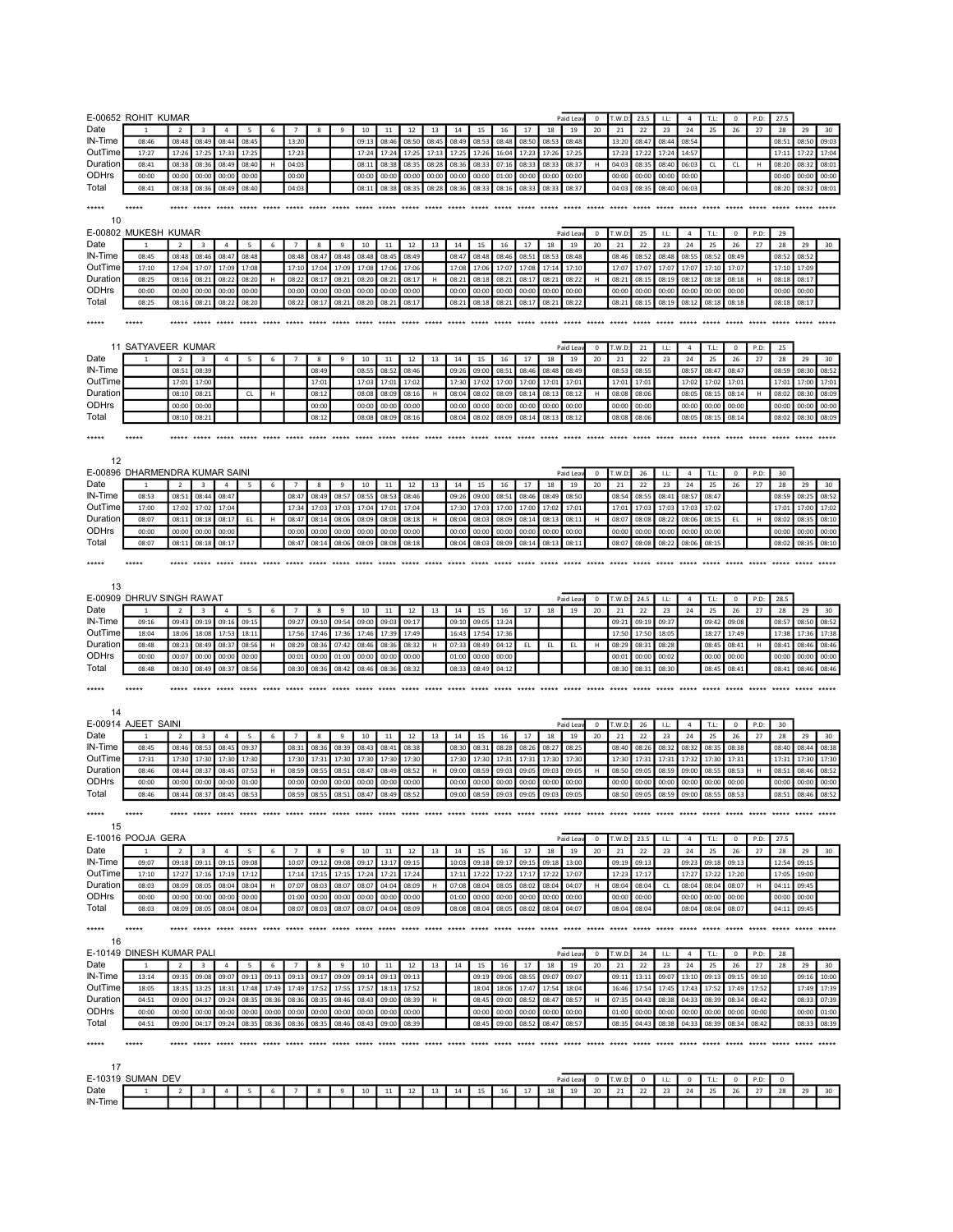|                | E-00652 ROHIT KUMAR            |                |                         |                |                   |                               |                   |                |                |                |                |                         |       |                |                |                               |                |                | Paid Lea       | $^{\circ}$  | T.W.D                   | 23.5           | LL:    | $\overline{4}$ | T.L:                     | $\mathbf 0$    | P.D:  | 27.5                          |                |                |
|----------------|--------------------------------|----------------|-------------------------|----------------|-------------------|-------------------------------|-------------------|----------------|----------------|----------------|----------------|-------------------------|-------|----------------|----------------|-------------------------------|----------------|----------------|----------------|-------------|-------------------------|----------------|--------|----------------|--------------------------|----------------|-------|-------------------------------|----------------|----------------|
| Date           |                                |                | $\overline{\mathbf{3}}$ | $\overline{4}$ | 5                 | 6                             | $\overline{7}$    | 8              | 9              | 10             | 11             | 12                      | 13    | 14             | 15             | 16                            | 17             | 18             | 19             | 20          | 21                      | 22             | 23     | 24             | 25                       | 26             | 27    | 28                            | 29             | 30             |
| IN-Time        | 08:46                          | 08:48          | 08:49                   | 08:44          | 08:45             |                               | 13:20             |                |                | 09:13          | 08:46          | 08:50                   | 08:45 | 08:49          | 08:53          | 08:48                         | 08:50          | 08:53          | 08:48          |             | 13:20                   | 08:47          | 08:44  | 08:54          |                          |                |       | 08:51                         | 08:50          | 09:03          |
| OutTime        | 17:27                          | 17:26          | 17:25                   | 17:33          | 17:25             |                               | 17:23             |                |                | 17:24          | 17:24          | 17:25                   | 17:13 | 17:25          | 17:26          | 16:04                         | 17:23          | 17:26          | 17:25          |             | 17:23                   | 17:22          | 17:24  | 14:57          |                          |                |       | 17:11                         | 17:22          | 17:04          |
| Duration       | 08:41                          | 08:38          | 08:36                   | 08:49          | 08:40             | н                             | 04:03             |                |                | 08:11          | 08:38          | 08:35                   | 08:28 | 08:36          | 08:33          | 07:16                         | 08:33          | 08:33          | 08:37          |             | 04:03                   | 08:35          | 08:40  | 06:03          | CL                       | CL             | н     | 08:20                         | 08:32          | 08:01          |
| ODHrs          | 00:00                          | 00:00          | 00:00                   | 00:00          | 00:00             |                               | 00:00             |                |                | 00:00          | 00:00          | 00:00                   | 00:00 | 00:00          | 00:00          | 01:00                         | 00:00          | 00:00          | 00:00          |             | 00:00                   | 00:00          | 00:00  | 00:00          |                          |                |       | 00:00                         | 00:00          | 00:00          |
| Total          | 08:41                          | 08:38          | 08:36                   | 08:49          | 08:40             |                               | 04:03             |                |                | 08:11          | 08:38          | 08:35                   | 08:28 | 08:36          | 08:33          | 08:16                         | 08:33          | 08:33          | 08:37          |             | 04:03                   | 08:35          | 08:40  | 06:03          |                          |                |       | 08:20                         | 08:32          | 08:01          |
| *****          | *****                          | *****          | *****                   | *****          | ***** *****       |                               | ***** ***** ***** |                |                | $*****$        | *****          | $****$                  |       |                |                | ***** ***** ***** ***** ***** |                | *****          |                |             | ***** ***** ***** ***** |                | $****$ |                | ***** ***** ***** *****  |                |       | ***** *****                   |                |                |
| 10             |                                |                |                         |                |                   |                               |                   |                |                |                |                |                         |       |                |                |                               |                |                |                |             |                         |                |        |                |                          |                |       |                               |                |                |
|                | E-00802 MUKESH KUMAR           |                |                         |                |                   |                               |                   |                |                |                |                |                         |       |                |                |                               |                |                | Paid Lea       | 0           | T.W.D                   | 25             | LL:    | $\overline{4}$ | T.L:                     | $\mathbf 0$    | P.D   | 29                            |                |                |
| Date           |                                | $\overline{2}$ | $\overline{\mathbf{3}}$ | $\overline{4}$ | 5                 | 6                             | $\overline{7}$    | 8              | 9              | 10             | 11             | 12                      | 13    | 14             | 15             | 16                            | 17             | 18             | 19             | 20          | 21                      | 22             | 23     | 24             | 25                       | 26             | 27    | 28                            | 29             | 30             |
| IN-Time        | 08:45                          | 08:48          | 08:46                   | 08:47          | 08:48             |                               | 08:48             | 08:47          | 08:48          | 08:48          | 08:45          | 08:49                   |       | 08:47          | 08:48          | 08:46                         | 08:51          | 08:53          | 08:48          |             | 08:46                   | 08:52          | 08:48  | 08:55          | 08:52                    | 08:49          |       | 08:52                         | 08:52          |                |
| OutTime        | 17:10                          | 17:04          | 17:07                   | 17:09          | 17:08             |                               | 17:10             | 17:04          | 17:09          | 17:08          | 17:06          | 17:06                   |       | 17:08          | 17:06          | 17:07                         | 17:08          | 17:14          | 17:10          |             | 17:07                   | 17:07          | 17:07  | 17:07          | 17:10                    | 17:07          |       | 17:10                         | 17:09          |                |
| Duration       | 08:25                          | 08:16          | 08:21                   | 08:22          | 08:20             | H                             | 08:22             | 08:17          | 08:21          | 08:20          | 08:21          | 08:17                   | н     | 08:21          | 08:18          | 08:21                         | 08:17          | 08:21          | 08:22          | н           | 08:2                    | 08:15          | 08:19  | 08:12          | 08:18                    | 08:18          | н     | 08:18                         | 08:17          |                |
| ODHrs          | 00:00                          | 00:00          | 00:00                   | 00:00          | 00:00             |                               | 00:00             | 00:00          | 00:00          | 00:00          | 00:00          | 00:00                   |       | 00:00          | 00:00          | 00:00                         | 00:00          | 00:00          | 00:00          |             | 00:00                   | 00:00          | 00:00  | 00:00          | 00:00                    | 00:00          |       | 00:00                         | 00:00          |                |
| Total          | 08:25                          | 08:16          | 08:21                   | 08:22          | 08:20             |                               | 08:22             | 08:17          | 08:21          | 08:20          | 08:21          | 08:17                   |       | 08:21          | 08:18          | 08:21                         | 08:17          | 08:21          | 08:22          |             | 08:21                   | 08:1           | 08:19  | 08:12          | 08:18                    | 08:18          |       | 08:18                         | 08:17          |                |
| *****          | *****                          |                | ***** ***** *****       |                |                   |                               |                   |                |                |                |                |                         |       |                |                |                               |                |                |                |             |                         |                |        |                |                          |                |       |                               |                |                |
|                |                                |                |                         |                |                   |                               |                   |                |                |                |                |                         |       |                |                |                               |                |                |                |             |                         |                |        |                |                          |                |       |                               |                |                |
|                | 11 SATYAVEER KUMAR             |                |                         |                |                   |                               |                   |                |                |                |                |                         |       |                |                |                               |                |                | Paid Lea       | $\mathbf 0$ | T.W.D:                  | 21             | LL:    | $\overline{4}$ | T.L:                     | $\mathbf 0$    | P.D:  | 25                            |                |                |
| Date           |                                | $\overline{2}$ | $\overline{\mathbf{3}}$ | $\overline{4}$ | 5                 | 6                             | $\overline{7}$    | 8              | 9              | 10             | 11             | 12                      | 13    | 14             | 15             | 16                            | 17             | 18             | 19             | 20          | 21                      | 22             | 23     | 24             | 25                       | 26             | 27    | 28                            | 29             | 30             |
| IN-Time        |                                | 08:51          | 08:39                   |                |                   |                               |                   | 08:49          |                | 08:55          | 08:52          | 08:46                   |       | 09:26          | 09:00          | 08:51                         | 08:46          | 08:48          | 08:49          |             | 08:53                   | 08:55          |        | 08:57          | 08:47                    | 08:47          |       | 08:59                         | 08:30          | 08:52          |
| OutTime        |                                | 17:01          | 17:00                   |                |                   |                               |                   | 17:01          |                | 17:03          | 17:01          | 17:02                   |       | 17:30          | 17:02          | 17:00                         | 17:00          | 17:01          | 17:01          |             | 17:01                   | 17:01          |        | 17:02          | 17:02                    | 17:01          |       | 17:01                         | 17:00          | 17:01          |
| Duration       |                                | 08:10          | 08:21                   |                | CL                | н                             |                   | 08:12          |                | 08:08          | 08:09          | 08:16                   | H     | 08:04          | 08:02          | 08:09                         | 08:14          | 08:13          | 08:12          | н           | 08:08                   | 08:06          |        | 08:05          | 08:15                    | 08:14          | н     | 08:02                         | 08:30          | 08:09          |
| ODHrs          |                                | 00:00          | 00:00                   |                |                   |                               |                   | 00:00          |                | 00:00          | 00:00          | 00:00                   |       | 00:00          | 00:00          | 00:00                         | 00:00          | 00:00          | 00:00          |             | 00:00                   | 00:00          |        | 00:00          | 00:00                    | 00:00          |       | 00:00                         | 00:00          | 00:00          |
| Total          |                                | 08:10          | 08:21                   |                |                   |                               |                   | 08:12          |                | 08:08          | 08:09          | 08:16                   |       | 08:04          | 08:02          | 08:09                         | 08:14          | 08:13          | 08:12          |             | 08:08                   | 08:06          |        | 08:05          | 08:15                    | 08:14          |       | 08:02                         | 08:30          | 08:09          |
| *****          | *****                          |                |                         |                |                   |                               |                   |                |                |                | $****$         | ***** ***** ***** ***** |       |                |                | ***** *****                   |                |                |                |             |                         |                |        |                |                          |                |       | ***** ***** ***** ***** ***** |                |                |
|                |                                |                |                         |                |                   |                               |                   |                |                |                |                |                         |       |                |                |                               |                |                |                |             |                         |                |        |                |                          |                |       |                               |                |                |
| 12             |                                |                |                         |                |                   |                               |                   |                |                |                |                |                         |       |                |                |                               |                |                |                |             |                         |                |        |                |                          |                |       |                               |                |                |
|                | E-00896 DHARMENDRA KUMAR SAINI |                |                         |                |                   |                               |                   |                |                |                |                |                         |       |                |                |                               |                |                | Paid Lea       | $\mathbf 0$ | T.W.D                   | 26             | LL:    | $\sqrt{4}$     | T.L:                     | $\mathbf 0$    | P.D:  | 30                            |                |                |
| Date           |                                | $\overline{2}$ | $\overline{\mathbf{3}}$ | $\overline{4}$ | 5                 | 6                             | $\overline{7}$    | 8              | 9              | 10             | 11             | 12                      | 13    | 14             | 15             | 16                            | 17             | 18             | 19             | 20          | 21                      | 22             | 23     | 24             | 25                       | 26             | 27    | 28                            | 29             | 30             |
| IN-Time        | 08:53                          | 08:51          | 08:44                   | 08:47          |                   |                               | 08:47             | 08:49          | 08:57          | 08:55          | 08:53          | 08:46                   |       | 09:26          | 09:00          | 08:51                         | 08:46          | 08:49          | 08:50          |             | 08:54                   | 08:55          | 08:41  | 08:57          | 08:47                    |                |       | 08:59                         | 08:25          | 08:52          |
| OutTime        | 17:00                          | 17:02          | 17:02                   | 17:04          |                   |                               | 17:34             | 17:03          | 17:03          | 17:04          | 17:01          | 17:04                   |       | 17:30          | 17:03          | 17:00                         | 17:00          | 17:02          | 17:01          |             | 17:03                   | 17:03          | 17:03  | 17:03          | 17:02                    |                |       | 17:01                         | 17:00          | 17:02          |
| Duration       | 08:07                          | 08:11          | 08:18                   | 08:17          | EL                | н                             | 08:47             | 08:14          | 08:06          | 08:09          | 08:08          | 08:18                   | н     | 08:04          | 08:03          | 08:09                         | 08:14          | 08:13          | 08:11          |             | 08:07                   | 08:08          | 08:22  | 08:06          | 08:15                    | EL.            | н     | 08:02                         | 08:35          | 08:10          |
| ODHrs          | 00:00                          | 00:00          | 00:00                   | 00:00          |                   |                               | 00:00             | 00:00          | 00:00          | 00:00          | 00:00          | 00:00                   |       | 00:00          | 00:00          | 00:00                         | 00:00          | 00:00          | 00:00          |             | 00:00                   | 00:00          | 00:00  | 00:00          | 00:00                    |                |       | 00:00                         | 00:00          | 00:00          |
| Total          | 08:07                          | 08:11          | 08:18                   | 08:17          |                   |                               | 08:47             | 08:14          | 08:06          | 08:09          | 08:08          | 08:18                   |       | 08:04          | 08:03          | 08:09                         | 08:14          | 08:13          | 08:11          |             | 08:07                   | 08:08          | 08:22  | 08:06          | 08:15                    |                |       | 08:02                         | 08:35          | 08:10          |
| *****          | *****                          | ***** *****    |                         |                | ***** ***** ***** |                               | $*****$           | *****          |                |                |                | $****$                  |       | $****$         | *****          | *****                         | $****$         | *****          | ***** *****    |             | *****                   | *****          | $****$ |                | ***** ***** *****        |                |       | *****                         | *****          |                |
|                |                                |                |                         |                |                   |                               |                   |                |                |                |                |                         |       |                |                |                               |                |                |                |             |                         |                |        |                |                          |                |       |                               |                |                |
| 13             |                                |                |                         |                |                   |                               |                   |                |                |                |                |                         |       |                |                |                               |                |                |                |             |                         |                |        |                |                          |                |       |                               |                |                |
|                | E-00909 DHRUV SINGH RAWAT      |                |                         |                |                   |                               |                   |                |                |                |                |                         |       |                |                |                               |                |                | Paid Lea       | 0           | T.W.D                   | 24.5           | LL:    | $\overline{a}$ | $\mathsf{T}, \mathsf{L}$ | $\pmb{0}$      | P.D:  | 28.5                          |                |                |
| Date           | 1                              | $\overline{2}$ | 3                       | 4              | 5                 | 6                             | $\overline{7}$    | 8              | 9              | 10             | 11             | 12                      | 13    | 14             | 15             | 16                            | 17             | 18             | 19             | 20          | 21                      | 22             | 23     | 24             | 25                       | 26             | 27    | 28                            | 29             | 30             |
| IN-Time        | 09:16                          | 09:43          | 09:19                   | 09:16          | 09:15             |                               | 09:27             | 09:10          | 09:54          | 09:00          | 09:03          | 09:17                   |       | 09:10          | 09:05          | 13:24                         |                |                |                |             | 09:21                   | 09:19          | 09:37  |                | 09:42                    | 09:08          |       | 08:57                         | 08:50          | 08:52          |
| OutTime        | 18:04                          | 18:06          | 18:08                   | 17:53          | 18:11             |                               | 17:56             | 17:46          | 17:36          | 17:46          | 17:39          | 17:49                   |       | 16:43          | 17:54          | 17:36                         |                |                |                |             | 17:50                   | 17:50          | 18:05  |                | 18:27                    | 17:49          |       | 17:38                         | 17:36          | 17:38          |
| Duration       | 08:48                          | 08:23          | 08:49                   | 08:37          | 08:56             | н                             | 08:29             | 08:36          | 07:42          | 08:46          | 08:36          | 08:32                   | H     | 07:33          | 08:49          | 04:12                         | EL             | EL             | EL.            | н           | 08:29                   | 08:3           | 08:28  |                | 08:45                    | 08:41          | H     | 08:41                         | 08:46          | 08:46          |
| ODHrs          | 00:00                          | 00:07          | 00:00                   | 00:00          | 00:00             |                               | 00:01             | 00:00          | 01:00          | 00:00          | 00:00          | 00:00                   |       | 01:00          | 00:00          | 00:00                         |                |                |                |             | 00:01                   | 00:00          | 00:02  |                | 00:00                    | 00:00          |       | 00:00                         | 00:00          | 00:00          |
| Total          | 08:48                          | 08:30          | 08:49                   | 08:37          | 08:56             |                               | 08:30             | 08:36          | 08:42          | 08:46          | 08:36          | 08:32                   |       | 08:33          | 08:49          | 04:12                         |                |                |                |             | 08:30                   | 08:31          | 08:30  |                | 08:45                    | 08:41          |       | 08:41                         | 08:46          | 08:46          |
| *****          | *****                          |                | ***** *****             | *****          | ***** *****       |                               | ***** *****       |                | $****$         | $*****$        |                | ***** ***** *****       |       | ***** *****    |                |                               |                |                |                |             |                         |                |        |                |                          |                |       |                               |                |                |
|                |                                |                |                         |                |                   |                               |                   |                |                |                |                |                         |       |                |                |                               |                |                |                |             |                         |                |        |                |                          |                |       |                               |                |                |
| 14             |                                |                |                         |                |                   |                               |                   |                |                |                |                |                         |       |                |                |                               |                |                |                |             |                         |                |        |                |                          |                |       |                               |                |                |
|                | E-00914 AJEET SAINI            |                |                         |                |                   |                               |                   |                |                |                |                |                         |       |                |                |                               |                |                | Paid Lea       | 0           | T.W.D                   | 26             | LL:    | $\overline{a}$ | T.L:                     | $\pmb{0}$      | P.D:  | 30                            |                |                |
| Date           |                                | $\overline{2}$ | 3                       | $\overline{4}$ | 5                 | 6                             | $\overline{7}$    | 8              | 9              | 10             | 11             | 12                      | 13    | 14             | 15             | 16                            | 17             | 18             | 19             | 20          | 21                      | 22             | 23     | 24             | 25                       | 26             | 27    | 28                            | 29             | 30             |
| IN-Time        | 08:45                          | 08:46          | 08:53                   | 08:45          | 09:37             |                               | 08:31             | 08:36          | 08:39          | 08:43          | 08:41          | 08:38                   |       | 08:30          | 08:31          | 08:28                         | 08:26          | 08:27          | 08:25          |             | 08:40                   | 08:26          | 08:32  | 08:32          | 08:35                    | 08:38          |       | 08:40                         | 08:44          | 08:38          |
| OutTime        | 17:31                          | 17:30          | 17:30                   | 17:30          | 17:30             |                               | 17:30             | 17:31          | 17:30          | 17:30          | 17:30          | 17:30                   |       | 17:30          | 17:30          | 17:31                         | 17:31          | 17:30          | 17:30          |             | 17:30                   | 17:31          | 17:31  | 17:32          | 17:30                    | 17:31          |       | 17:31                         | 17:30          | 17:30          |
| Duration       | 08:46                          | 08:44          | 08:37                   | 08:45          | 07:53             | H                             | 08:59             | 08:55          | 08:51          | 08:47          | 08:49          | 08:52                   |       | 09:00          | 08:59          | 09:03                         | 09:05          | 09:03          | 09:05          |             | 08:50                   | 09:05          | 08:59  | 09:00          | 08:55                    | 08:53          |       | 08:51                         | 08:46          | 08:52          |
| ODHrs<br>Total | 00:00<br>08:46                 | 00:00          | 00:00<br>08:37          | 00:00<br>08:45 | 01:00             |                               | 00:00<br>08:59    | 00:00<br>08:55 | 00:00          | 00:00          | 00:00          | 00:00                   |       | 00:00<br>09:00 | 00:00<br>08:59 | 00:00                         | 00:00          | 00:00<br>09:03 | 00:00          |             | 00:00<br>08:50          | 00:00          | 00:00  | 00:00          | 00:00                    | 00:00          |       | 00:00<br>08:51                | 00:00          | 00:00<br>08:52 |
|                |                                | 08:44          |                         |                | 08:53             |                               |                   |                | 08:51          | 08:47          | 08:49          | 08:52                   |       |                |                | 09:03                         | 09:05          |                | 09:05          |             |                         | 09:05          | 08:59  | 09:00          | 08:55                    | 08:53          |       |                               | 08:46          |                |
| *****          |                                |                |                         |                |                   |                               |                   |                |                |                |                |                         |       |                |                |                               |                |                |                |             |                         |                |        |                |                          |                |       |                               |                |                |
| 15             |                                |                |                         |                |                   |                               |                   |                |                |                |                |                         |       |                |                |                               |                |                |                |             |                         |                |        |                |                          |                |       |                               |                |                |
|                | E-10016 POOJA GERA             |                |                         |                |                   |                               |                   |                |                |                |                |                         |       |                |                |                               |                |                | Paid Lea       | $^{\circ}$  | T.W.D:                  | 23.5           | LL:    | 4              | T.L:                     | 0              | P.D:  | 27.5                          |                |                |
| Date           |                                |                | $\overline{\mathbf{3}}$ | $\overline{4}$ | 5                 | 6                             | $\overline{7}$    | 8              | 9              | 10             | 11             | 12                      | 13    | 14             | 15             | 16                            | 17             | 18             | 19             | 20          | 21                      | 22             | 23     | 24             | 25                       | 26             | 27    | 28                            | 29             | 30             |
| IN-Time        | 09:07                          | 09:18          | 09:11                   | 09:15          | 09:08             |                               | 10:07             | 09:12          | 09:08          | 09:17          | 13:17          | 09:15                   |       | 10:03          | 09:18          | 09:17                         | 09:15          | 09:18          | 13:00          |             | 09:19                   | 09:13          |        | 09:23          | 09:18                    | 09:13          |       | 12:54                         | 09:15          |                |
| OutTime        | 17:10                          | 17:27          | 17:16                   | 17:19          | 17:12             |                               | 17:14             | 17:15          | 17:15          | 17:24          | 17:21          | 17:24                   |       | 17:11          | 17:22          | 17:22                         | 17:17          | 17:22          | 17:07          |             | 17:23                   | 17:17          |        | 17:27          | 17:22                    | 17:20          |       | 17:05                         | 19:00          |                |
| Duration       | 08:03                          | 08:09          | 08:05                   | 08:04          | 08:04             | н                             | 07:07             | 08:03          | 08:07          | 08:07          | 04:04          | 08:09                   | н     | 07:08          | 08:04          | 08:05                         | 08:02          | 08:04          | 04:07          |             | 08:04                   | 08:04          | CL.    | 08:04          | 08:04                    | 08:07          | н     | 04:11                         | 09:45          |                |
| ODHrs<br>Total | 00:00<br>08:03                 | 00:00<br>08:09 | 00:00<br>08:05          | 00:00<br>08:04 | 00:00<br>08:04    |                               | 01:00<br>08:07    | 00:00<br>08:03 | 00:00<br>08:07 | 00:00<br>08:07 | 00:00<br>04:04 | 00:00<br>08:09          |       | 01:00<br>08:08 | 00:00<br>08:04 | 00:00<br>08:05                | 00:00<br>08:02 | 00:00          | 00:00<br>04:07 |             | 00:00<br>08:04          | 00:00<br>08:04 |        | 00:00<br>08:04 | 00:00<br>08:04           | 00:00<br>08:07 |       | 00:00<br>04:11                | 00:00<br>09:45 |                |
|                |                                |                |                         |                |                   |                               |                   |                |                |                |                |                         |       |                |                |                               |                | 08:04          |                |             |                         |                |        |                |                          |                |       |                               |                |                |
| *****          | $****$                         |                | ***** *****             |                |                   |                               |                   |                |                |                |                |                         |       |                |                |                               |                |                |                |             |                         |                |        |                |                          |                |       |                               |                |                |
| 16             |                                |                |                         |                |                   |                               |                   |                |                |                |                |                         |       |                |                |                               |                |                |                |             |                         |                |        |                |                          |                |       |                               |                |                |
|                | E-10149 DINESH KUMAR PALI      |                |                         |                |                   |                               |                   |                |                |                |                |                         |       |                |                |                               |                |                | Paid Leav      | $\bf{0}$    | T.W.D:                  | 24             | LL:    | $\overline{4}$ | T.L:                     | $\mathbf 0$    | P.D:  | 28                            |                |                |
| Date           |                                | $\overline{2}$ | 3                       | $\overline{4}$ | 5                 | 6                             | $\overline{7}$    | 8              | 9              | 10             | 11             | 12                      | 13    | 14             | 15             | 16                            | 17             | 18             | 19             | 20          | 21                      | 22             | 23     | 24             | 25                       | 26             | 27    | 28                            | 29             | 30             |
| IN-Time        | 13:14                          | 09:35          | 09:08                   | 09:07          | 09:13             | 09:13                         | 09:13             | 09:17          | 09:09          | 09:14          | 09:13          | 09:13                   |       |                | 09:19          | 09:06                         | 08:55          | 09:07          | 09:07          |             | 09:11                   | 13:11          | 09:07  | 13:10          | 09:13                    | 09:15          | 09:10 |                               | 09:16          | 10:00          |
| OutTime        | 18:05                          | 18:35          | 13:25                   | 18:31          | 17:48             | 17:49                         | 17:49             | 17:52          | 17:55          | 17:57          | 18:13          | 17:52                   |       |                | 18:04          | 18:06                         | 17:47          | 17:54          | 18:04          |             | 16:46                   | 17:54          | 17:45  | 17:43          | 17:52                    | 17:49          | 17:52 |                               | 17:49          | 17:39          |
| Duration       | 04:51                          | 09:00          | 04:17                   | 09:24          | 08:35             | 08:36                         | 08:36             | 08:35          | 08:46          | 08:43          | 09:00          | 08:39                   | н     |                | 08:45          | 09:00                         | 08:52          | 08:47          | 08:57          |             | 07:35                   | 04:43          | 08:38  | 04:33          | 08:39                    | 08:34          | 08:42 |                               | 08:33          | 07:39          |
| ODHrs          | 00:00                          | 00:00          | 00:00                   | 00:00          | 00:00             | 00:00                         | 00:00             | 00:00          | 00:00          | 00:00          | 00:00          | 00:00                   |       |                | 00:00          | 00:00                         | 00:00          | 00:00          | 00:00          |             | 01:00                   | 00:00          | 00:00  | 00:00          | 00:00                    | 00:00          | 00:00 |                               | 00:00          | 01:00          |
| Total          | 04:51                          | 09:00          | 04:17                   | 09:24          | 08:35             | 08:36                         | 08:36             | 08:35          | 08:46          | 08:43          | 09:00          | 08:39                   |       |                | 08:45          | 09:00                         | 08:52          | 08:47          | 08:57          |             | 08:35                   | 04:43          | 08:38  | 04:33          | 08:39                    | 08:34          | 08:42 |                               | 08:33          | 08:39          |
| *****          | $****$                         |                | ***** ***** ***** ***** |                |                   | ***** ***** ***** ***** ***** |                   |                |                |                | *****          |                         |       |                |                |                               |                |                |                |             |                         |                |        |                |                          |                |       |                               |                |                |
|                |                                |                |                         |                |                   |                               |                   |                |                |                |                |                         |       |                |                |                               |                |                |                |             |                         |                |        |                |                          |                |       |                               |                |                |
| 17             |                                |                |                         |                |                   |                               |                   |                |                |                |                |                         |       |                |                |                               |                |                |                |             |                         |                |        |                |                          |                |       |                               |                |                |
|                | E-10319 SUMAN DEV              |                |                         |                |                   |                               |                   |                |                |                |                |                         |       |                |                |                               |                |                | Paid Lea       | 0           | T.W.D                   | 0              | I.L:   | 0              | T.L:                     | 0              | P.D:  | $\mathbf 0$                   |                |                |
| Date           | $\mathbf{1}$                   | $\overline{2}$ | 3                       | 4              |                   |                               |                   |                |                | 10             | 11             | 12                      | 13    | 14             | 15             | 16                            | 17             | 18             | 19             | 20          | 21                      | 22             | 23     | 24             | 25                       | 26             | 27    | 28                            | 29             | 30             |
| IN-Time        |                                |                |                         |                |                   |                               |                   |                |                |                |                |                         |       |                |                |                               |                |                |                |             |                         |                |        |                |                          |                |       |                               |                |                |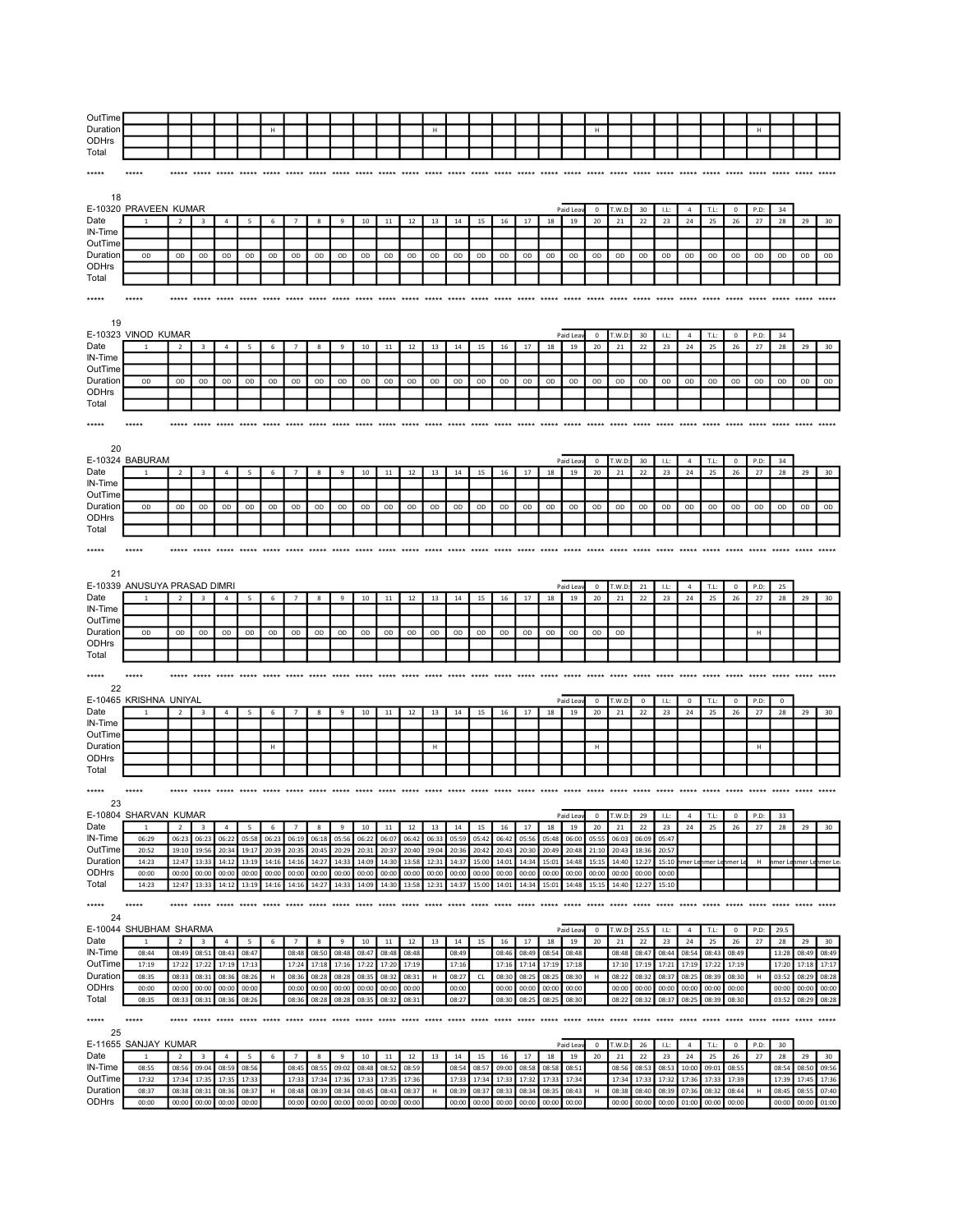| OutTime           |                              |                |                                  |                |                 |        |                 |       |       |                                              |             |             |        |                               |       |       |       |       |                                              |                |        |            |       |                |                                              |                |             |            |                      |                         |
|-------------------|------------------------------|----------------|----------------------------------|----------------|-----------------|--------|-----------------|-------|-------|----------------------------------------------|-------------|-------------|--------|-------------------------------|-------|-------|-------|-------|----------------------------------------------|----------------|--------|------------|-------|----------------|----------------------------------------------|----------------|-------------|------------|----------------------|-------------------------|
| Duration          |                              |                |                                  |                |                 | H      |                 |       |       |                                              |             |             | н      |                               |       |       |       |       |                                              | н              |        |            |       |                |                                              |                | H           |            |                      |                         |
| <b>ODHrs</b>      |                              |                |                                  |                |                 |        |                 |       |       |                                              |             |             |        |                               |       |       |       |       |                                              |                |        |            |       |                |                                              |                |             |            |                      |                         |
| Total             |                              |                |                                  |                |                 |        |                 |       |       |                                              |             |             |        |                               |       |       |       |       |                                              |                |        |            |       |                |                                              |                |             |            |                      |                         |
|                   |                              |                |                                  |                |                 |        |                 |       |       |                                              |             |             |        |                               |       |       |       |       |                                              |                |        |            |       |                |                                              |                |             |            |                      |                         |
|                   |                              |                |                                  |                |                 |        |                 |       |       |                                              |             |             |        |                               |       |       |       |       |                                              |                |        |            |       |                |                                              |                |             |            |                      |                         |
| *****             |                              |                |                                  |                |                 |        |                 |       |       |                                              |             |             |        |                               |       |       |       |       |                                              |                |        |            |       |                |                                              |                |             |            |                      |                         |
|                   |                              |                |                                  |                |                 |        |                 |       |       |                                              |             |             |        |                               |       |       |       |       |                                              |                |        |            |       |                |                                              |                |             |            |                      |                         |
| 18                |                              |                |                                  |                |                 |        |                 |       |       |                                              |             |             |        |                               |       |       |       |       |                                              |                |        |            |       |                |                                              |                |             |            |                      |                         |
|                   |                              |                |                                  |                |                 |        |                 |       |       |                                              |             |             |        |                               |       |       |       |       |                                              |                |        |            |       |                |                                              |                |             |            |                      |                         |
|                   | E-10320 PRAVEEN KUMAR        |                |                                  |                |                 |        |                 |       |       |                                              |             |             |        |                               |       |       |       |       | Paid Lea                                     | 0              | T.W.D  | 30         | LL:   | $\sqrt{4}$     | T.L:                                         | 0              | P.D:        | 34         |                      |                         |
| Date              | $\mathbf{1}$                 | 2              | 3                                | 4              | 5               | 6      |                 | 8     | 9     | 10                                           | 11          | 12          | 13     | 14                            | 15    | 16    | 17    | 18    | 19                                           | 20             | 21     | 22         | 23    | 24             | 25                                           | 26             | 27          | 28         | 29                   | 30                      |
| IN-Time           |                              |                |                                  |                |                 |        |                 |       |       |                                              |             |             |        |                               |       |       |       |       |                                              |                |        |            |       |                |                                              |                |             |            |                      |                         |
| OutTime           |                              |                |                                  |                |                 |        |                 |       |       |                                              |             |             |        |                               |       |       |       |       |                                              |                |        |            |       |                |                                              |                |             |            |                      |                         |
|                   |                              |                |                                  |                |                 |        |                 |       |       |                                              |             |             |        |                               |       |       |       |       |                                              |                |        |            |       |                |                                              |                |             |            |                      |                         |
| Duration          | OD                           | OD             | OD                               | OD             | OD              | OD     | OD              | OD    | OD    | OD                                           | OD          | OD          | OD     | OD                            | OD    | OD    | OD    | OD    | OD                                           | OD             | OD     | OD         | OD    | OD             | OD                                           | OD             | OD          | OD         | OD                   | OD                      |
| ODHrs             |                              |                |                                  |                |                 |        |                 |       |       |                                              |             |             |        |                               |       |       |       |       |                                              |                |        |            |       |                |                                              |                |             |            |                      |                         |
|                   |                              |                |                                  |                |                 |        |                 |       |       |                                              |             |             |        |                               |       |       |       |       |                                              |                |        |            |       |                |                                              |                |             |            |                      |                         |
| Total             |                              |                |                                  |                |                 |        |                 |       |       |                                              |             |             |        |                               |       |       |       |       |                                              |                |        |            |       |                |                                              |                |             |            |                      |                         |
|                   |                              |                |                                  |                |                 |        |                 |       |       |                                              |             |             |        |                               |       |       |       |       |                                              |                |        |            |       |                |                                              |                |             |            |                      |                         |
| *****             |                              |                |                                  |                |                 |        |                 |       |       |                                              |             |             |        |                               |       |       |       |       |                                              |                |        |            |       |                |                                              |                |             |            |                      |                         |
|                   |                              |                |                                  |                |                 |        |                 |       |       |                                              |             |             |        |                               |       |       |       |       |                                              |                |        |            |       |                |                                              |                |             |            |                      |                         |
|                   |                              |                |                                  |                |                 |        |                 |       |       |                                              |             |             |        |                               |       |       |       |       |                                              |                |        |            |       |                |                                              |                |             |            |                      |                         |
| 19                |                              |                |                                  |                |                 |        |                 |       |       |                                              |             |             |        |                               |       |       |       |       |                                              |                |        |            |       |                |                                              |                |             |            |                      |                         |
|                   | E-10323 VINOD KUMAR          |                |                                  |                |                 |        |                 |       |       |                                              |             |             |        |                               |       |       |       |       | Paid Lea                                     | $\Omega$       | T.W.D  | 30         | J.L.  | $\overline{4}$ | T.L                                          | $^{\circ}$     | P.D:        | 34         |                      |                         |
| Date              | $\mathbf{1}$                 | $\overline{2}$ | 3                                | 4              | 5               | 6      |                 | 8     | 9     | 10                                           | $11\,$      | 12          | 13     | 14                            | 15    | 16    | 17    | 18    | 19                                           | 20             | 21     | 22         | 23    | 24             | 25                                           | 26             | 27          | 28         | 29                   | 30                      |
|                   |                              |                |                                  |                |                 |        |                 |       |       |                                              |             |             |        |                               |       |       |       |       |                                              |                |        |            |       |                |                                              |                |             |            |                      |                         |
| IN-Time           |                              |                |                                  |                |                 |        |                 |       |       |                                              |             |             |        |                               |       |       |       |       |                                              |                |        |            |       |                |                                              |                |             |            |                      |                         |
| OutTime           |                              |                |                                  |                |                 |        |                 |       |       |                                              |             |             |        |                               |       |       |       |       |                                              |                |        |            |       |                |                                              |                |             |            |                      |                         |
| Duratior          | OD                           | OD             | OD                               | OD             | OD              | OD     | OD              | OD    | OD    | OD                                           | OD          | OD          | OD     | OD                            | OD    | OD    | OD    | OD    | OD                                           | OD             | OD     | OD         | OD    | OD             | OD                                           | OD             | OD          | OD         | OD                   | OD                      |
| <b>ODHrs</b>      |                              |                |                                  |                |                 |        |                 |       |       |                                              |             |             |        |                               |       |       |       |       |                                              |                |        |            |       |                |                                              |                |             |            |                      |                         |
|                   |                              |                |                                  |                |                 |        |                 |       |       |                                              |             |             |        |                               |       |       |       |       |                                              |                |        |            |       |                |                                              |                |             |            |                      |                         |
| Total             |                              |                |                                  |                |                 |        |                 |       |       |                                              |             |             |        |                               |       |       |       |       |                                              |                |        |            |       |                |                                              |                |             |            |                      |                         |
|                   |                              |                |                                  |                |                 |        |                 |       |       |                                              |             |             |        |                               |       |       |       |       |                                              |                |        |            |       |                |                                              |                |             |            |                      |                         |
| *****             |                              |                |                                  |                |                 |        |                 |       |       |                                              |             |             |        |                               |       |       |       |       |                                              |                |        |            |       |                |                                              |                |             |            |                      |                         |
|                   |                              |                |                                  |                |                 |        |                 |       |       |                                              |             |             |        |                               |       |       |       |       |                                              |                |        |            |       |                |                                              |                |             |            |                      |                         |
|                   |                              |                |                                  |                |                 |        |                 |       |       |                                              |             |             |        |                               |       |       |       |       |                                              |                |        |            |       |                |                                              |                |             |            |                      |                         |
| 20                |                              |                |                                  |                |                 |        |                 |       |       |                                              |             |             |        |                               |       |       |       |       |                                              |                |        |            |       |                |                                              |                |             |            |                      |                         |
|                   | E-10324 BABURAM              |                |                                  |                |                 |        |                 |       |       |                                              |             |             |        |                               |       |       |       |       | Paid Lea                                     | $\mathbf 0$    | T.W.D  | 30         | LL:   | $\overline{4}$ | T.L:                                         | $\mathbf 0$    | P.D:        | 34         |                      |                         |
| Date              | 1                            | $\overline{2}$ | $\overline{\mathbf{3}}$          | $\overline{4}$ | 5               | 6      | $\overline{7}$  | 8     | 9     | 10                                           | $11\,$      | 12          | 13     | 14                            | 15    | 16    | 17    | 18    | 19                                           | 20             | 21     | $22\,$     | 23    | 24             | 25                                           | 26             | 27          | 28         | 29                   | 30                      |
|                   |                              |                |                                  |                |                 |        |                 |       |       |                                              |             |             |        |                               |       |       |       |       |                                              |                |        |            |       |                |                                              |                |             |            |                      |                         |
| IN-Time           |                              |                |                                  |                |                 |        |                 |       |       |                                              |             |             |        |                               |       |       |       |       |                                              |                |        |            |       |                |                                              |                |             |            |                      |                         |
| OutTime           |                              |                |                                  |                |                 |        |                 |       |       |                                              |             |             |        |                               |       |       |       |       |                                              |                |        |            |       |                |                                              |                |             |            |                      |                         |
| Duration          | OD                           | OD             | OD                               | OD             | OD              | OD     | OD              | OD    | OD    | OD                                           | OD          | OD          | OD     | OD                            | OD    | OD    | OD    | OD    | OD                                           | OD             | OD     | OD         | OD    | OD             | OD                                           | OD             | OD          | OD         | OD                   | OD                      |
|                   |                              |                |                                  |                |                 |        |                 |       |       |                                              |             |             |        |                               |       |       |       |       |                                              |                |        |            |       |                |                                              |                |             |            |                      |                         |
| <b>ODHrs</b>      |                              |                |                                  |                |                 |        |                 |       |       |                                              |             |             |        |                               |       |       |       |       |                                              |                |        |            |       |                |                                              |                |             |            |                      |                         |
| Total             |                              |                |                                  |                |                 |        |                 |       |       |                                              |             |             |        |                               |       |       |       |       |                                              |                |        |            |       |                |                                              |                |             |            |                      |                         |
|                   |                              |                |                                  |                |                 |        |                 |       |       |                                              |             |             |        |                               |       |       |       |       |                                              |                |        |            |       |                |                                              |                |             |            |                      |                         |
| *****             |                              |                |                                  |                |                 |        |                 |       |       |                                              |             |             |        |                               |       |       |       |       |                                              |                |        |            |       |                |                                              |                |             |            |                      |                         |
|                   |                              |                |                                  |                |                 |        |                 |       |       |                                              |             |             |        |                               |       |       |       |       |                                              |                |        |            |       |                |                                              |                |             |            |                      |                         |
|                   |                              |                |                                  |                |                 |        |                 |       |       |                                              |             |             |        |                               |       |       |       |       |                                              |                |        |            |       |                |                                              |                |             |            |                      |                         |
| 21                |                              |                |                                  |                |                 |        |                 |       |       |                                              |             |             |        |                               |       |       |       |       |                                              |                |        |            |       |                |                                              |                |             |            |                      |                         |
|                   | E-10339 ANUSUYA PRASAD DIMRI |                |                                  |                |                 |        |                 |       |       |                                              |             |             |        |                               |       |       |       |       | Paid Lea                                     | $\mathbf 0$    | T.W.D  | 21         | LL:   | $\sqrt{4}$     | T.L:                                         | $\mathbf 0$    | P.D:        | 25         |                      |                         |
| Date              |                              |                |                                  |                |                 |        |                 |       |       |                                              |             |             |        |                               |       |       |       |       |                                              |                |        |            |       |                |                                              |                |             |            |                      |                         |
|                   |                              | $\overline{2}$ | 3                                | $\overline{4}$ | 5               | 6      |                 | 8     | 9     | $10\,$                                       | 11          | 12          | 13     | 14                            | 15    | 16    | 17    | 18    | 19                                           | 20             | 21     | 22         | 23    | 24             | 25                                           | 26             | 27          | 28         | 29                   | 30                      |
| IN-Time           |                              |                |                                  |                |                 |        |                 |       |       |                                              |             |             |        |                               |       |       |       |       |                                              |                |        |            |       |                |                                              |                |             |            |                      |                         |
| OutTime           |                              |                |                                  |                |                 |        |                 |       |       |                                              |             |             |        |                               |       |       |       |       |                                              |                |        |            |       |                |                                              |                |             |            |                      |                         |
| Duration          | OD                           | OD             | OD                               | OD             | OD              | OD     | OD              | OD    | OD    | OD                                           | OD          | OD          | OD     | OD                            | OD    | OD    | OD    | OD    | OD                                           | OD             | OD     |            |       |                |                                              |                | н           |            |                      |                         |
|                   |                              |                |                                  |                |                 |        |                 |       |       |                                              |             |             |        |                               |       |       |       |       |                                              |                |        |            |       |                |                                              |                |             |            |                      |                         |
| ODHrs             |                              |                |                                  |                |                 |        |                 |       |       |                                              |             |             |        |                               |       |       |       |       |                                              |                |        |            |       |                |                                              |                |             |            |                      |                         |
| Total             |                              |                |                                  |                |                 |        |                 |       |       |                                              |             |             |        |                               |       |       |       |       |                                              |                |        |            |       |                |                                              |                |             |            |                      |                         |
|                   |                              |                |                                  |                |                 |        |                 |       |       |                                              |             |             |        |                               |       |       |       |       |                                              |                |        |            |       |                |                                              |                |             |            |                      |                         |
| $*****$           | *****                        |                |                                  |                |                 |        |                 |       |       |                                              |             |             |        |                               |       |       |       |       |                                              |                |        |            |       |                |                                              |                |             |            |                      |                         |
|                   |                              |                |                                  |                |                 |        |                 |       |       |                                              |             |             |        |                               |       |       |       |       |                                              |                |        |            |       |                |                                              |                |             |            |                      |                         |
| 22                |                              |                |                                  |                |                 |        |                 |       |       |                                              |             |             |        |                               |       |       |       |       |                                              |                |        |            |       |                |                                              |                |             |            |                      |                         |
|                   | E-10465 KRISHNA UNIYAL       |                |                                  |                |                 |        |                 |       |       |                                              |             |             |        |                               |       |       |       |       | Paid Lea                                     | $^{\circ}$     | T.W.D: | $^{\circ}$ | LL:   | $^{\circ}$     | T.L:                                         | $\mathbf 0$    | P.D:        | $^{\circ}$ |                      |                         |
| Date              |                              | $\overline{2}$ | $\overline{\mathbf{3}}$          | $\overline{4}$ | 5               | 6      | $\overline{7}$  | 8     | 9     | $10\,$                                       | $11\,$      | 12          | 13     | 14                            | 15    | 16    | 17    | 18    | 19                                           | 20             | 21     | $22\,$     | 23    | 24             | 25                                           | 26             | 27          | 28         | 29                   | 30                      |
|                   |                              |                |                                  |                |                 |        |                 |       |       |                                              |             |             |        |                               |       |       |       |       |                                              |                |        |            |       |                |                                              |                |             |            |                      |                         |
| IN-Time           |                              |                |                                  |                |                 |        |                 |       |       |                                              |             |             |        |                               |       |       |       |       |                                              |                |        |            |       |                |                                              |                |             |            |                      |                         |
| OutTime           |                              |                |                                  |                |                 |        |                 |       |       |                                              |             |             |        |                               |       |       |       |       |                                              |                |        |            |       |                |                                              |                |             |            |                      |                         |
| Duration          |                              |                |                                  |                |                 | $\,$ H |                 |       |       |                                              |             |             | $\,$ H |                               |       |       |       |       |                                              | н              |        |            |       |                |                                              |                | $\mathsf H$ |            |                      |                         |
| ODHrs             |                              |                |                                  |                |                 |        |                 |       |       |                                              |             |             |        |                               |       |       |       |       |                                              |                |        |            |       |                |                                              |                |             |            |                      |                         |
|                   |                              |                |                                  |                |                 |        |                 |       |       |                                              |             |             |        |                               |       |       |       |       |                                              |                |        |            |       |                |                                              |                |             |            |                      |                         |
| Total             |                              |                |                                  |                |                 |        |                 |       |       |                                              |             |             |        |                               |       |       |       |       |                                              |                |        |            |       |                |                                              |                |             |            |                      |                         |
|                   |                              |                |                                  |                |                 |        |                 |       |       |                                              |             |             |        |                               |       |       |       |       |                                              |                |        |            |       |                |                                              |                |             |            |                      |                         |
| *****             | *****                        |                |                                  |                |                 |        |                 |       |       |                                              |             |             |        | ***** ***** ***** ***** ***** |       |       |       |       |                                              |                |        |            |       |                |                                              |                |             |            |                      |                         |
| 23                |                              |                |                                  |                |                 |        |                 |       |       |                                              |             |             |        |                               |       |       |       |       |                                              |                |        |            |       |                |                                              |                |             |            |                      |                         |
|                   | E-10804 SHARVAN KUMAR        |                |                                  |                |                 |        |                 |       |       |                                              |             |             |        |                               |       |       |       |       |                                              |                |        |            |       |                |                                              |                |             |            |                      |                         |
|                   |                              |                |                                  |                |                 |        |                 |       |       |                                              |             |             |        |                               |       |       |       |       | Paid Leav                                    | $\overline{0}$ | T.W.D: | 29         | 1.1:  | $\overline{4}$ | T.L:                                         | $^{\circ}$     | P.D:        | 33         |                      |                         |
| Date              | $\overline{1}$               | $\overline{2}$ | $\overline{\mathbf{3}}$          | $\overline{4}$ | 5 <sub>5</sub>  | 6      | 7               | 8     | 9     | 10                                           | 11          | 12          | 13     | 14                            | 15    | 16    | 17    | 18    | 19                                           | 20             | 21     | 22         | 23    | 24             | 25                                           | 26             | 27          | 28         | 29                   | 30                      |
| IN-Time           | 06:29                        | 06:23          | 06:23                            | 06:22          | 05:58           | 06:23  | 06:19           | 06:18 | 05:56 | 06:22                                        | 06:07       | 06:42       | 06:33  | 05:59                         | 05:42 | 06:42 | 05:56 | 05:48 | 06:00                                        | 05:55          | 06:03  | 06:09      | 05:47 |                |                                              |                |             |            |                      |                         |
| OutTime           | 20:52                        | 19:10          | 19:56                            | 20:34 19:17    |                 | 20:39  | 20:35           | 20:45 | 20:29 | 20:31                                        | 20:37       | 20:40       | 19:04  | 20:36                         | 20:42 | 20:43 | 20:30 | 20:49 | 20:48                                        | 21:10          | 20:43  | 18:36      | 20:57 |                |                                              |                |             |            |                      |                         |
|                   |                              |                |                                  |                |                 |        |                 |       |       |                                              |             |             |        |                               |       |       |       |       |                                              |                |        |            |       |                |                                              |                |             |            |                      |                         |
| Duration          | 14:23                        | 12:47          | 13:33                            | 14:12          | 13:19           | 14:16  | 14:16           | 14:27 | 14:33 | 14:09                                        | 14:30       | 13:58       | 12:31  | 14:37                         | 15:00 | 14:01 | 14:34 | 15:01 | 14:48                                        | 15:15          | 14:40  | 12:27      |       |                | 15:10 nmer Lenmer Lenmer Le                  |                |             |            |                      | H nmer Lenmer Lenmer Le |
| ODHrs             | 00:00                        |                | 00:00 00:00                      |                | 00:00 00:00     | 00:00  | 00:00           | 00:00 | 00:00 | 00:00                                        |             | 00:00 00:00 | 00:00  | 00:00                         | 00:00 | 00:00 | 00:00 |       | 00:00 00:00                                  | 00:00          | 00:00  | 00:00      | 00:00 |                |                                              |                |             |            |                      |                         |
| Total             | 14:23                        | 12:47          | 13:33                            | 14:12          | 13:19           | 14:16  | 14:16           | 14:27 | 14:33 | 14:09                                        | 14:30       | 13:58       | 12:31  | 14:37                         | 15:00 | 14:01 | 14:34 | 15:01 | 14:48                                        | 15:15          | 14:40  | 12:27      | 15:10 |                |                                              |                |             |            |                      |                         |
|                   |                              |                |                                  |                |                 |        |                 |       |       |                                              |             |             |        |                               |       |       |       |       |                                              |                |        |            |       |                |                                              |                |             |            |                      |                         |
|                   |                              |                |                                  |                |                 |        |                 |       |       |                                              |             |             |        |                               |       |       |       |       |                                              |                |        |            |       |                |                                              |                |             |            |                      |                         |
| ***** *****       |                              |                |                                  |                |                 |        |                 |       |       |                                              |             |             |        |                               |       |       |       |       |                                              |                |        |            |       |                |                                              |                |             |            |                      |                         |
| 24                |                              |                |                                  |                |                 |        |                 |       |       |                                              |             |             |        |                               |       |       |       |       |                                              |                |        |            |       |                |                                              |                |             |            |                      |                         |
|                   | E-10044 SHUBHAM SHARMA       |                |                                  |                |                 |        |                 |       |       |                                              |             |             |        |                               |       |       |       |       | Paid Leav                                    | $\overline{0}$ | T.W.D: | 25.5       | LE:   | 4              | T.L:                                         | $\overline{0}$ | P.D:        | 29.5       |                      |                         |
|                   |                              |                |                                  |                |                 |        |                 |       |       |                                              |             |             |        |                               |       |       |       |       |                                              |                |        |            |       |                |                                              |                |             |            |                      |                         |
| Date              | $\overline{1}$               | $\overline{2}$ | $\overline{\mathbf{3}}$          | $\overline{4}$ | - 5             | 6      | $\overline{7}$  | 8     | 9     | 10                                           | 11          | 12          | 13     | 14                            | 15    | 16    | 17    | 18    | 19                                           | 20             | 21     | 22         | 23    | 24             | 25                                           | 26             | 27          | 28         | 29                   | 30                      |
| IN-Time           | 08:44                        |                | 08:49 08:51                      | 08:43 08:47    |                 |        | 08:48           | 08:50 | 08:48 | 08:47                                        | 08:48 08:48 |             |        | 08:49                         |       | 08:46 | 08:49 |       | 08:54 08:48                                  |                | 08:48  | 08:47      | 08:44 | 08:54          | 08:43                                        | 08:49          |             | 13:28      | 08:49                | 08:49                   |
| OutTime           | 17:19                        | 17:22          | 17:22                            | 17:19 17:13    |                 |        | 17:24           | 17:18 | 17:16 | 17:22                                        | 17:20       | 17:19       |        | 17:16                         |       | 17:16 | 17:14 | 17:19 | 17:18                                        |                | 17:10  | 17:19      | 17:21 | 17:19          | 17:22                                        | 17:19          |             | 17:20      | 17:18                | 17:17                   |
|                   |                              |                |                                  |                |                 |        |                 |       |       |                                              |             |             |        |                               |       |       |       |       |                                              |                |        |            |       |                |                                              |                |             |            |                      |                         |
| Duration          | 08:35                        | 08:33          | 08:31                            | 08:36 08:26    |                 | H      | 08:36           | 08:28 | 08:28 | 08:35                                        | 08:32       | 08:31       | H      | 08:27                         | CL    | 08:30 | 08:25 | 08:25 | 08:30                                        | H              | 08:22  | 08:32      | 08:37 | 08:25          | 08:39                                        | 08:30          | H           | 03:52      | 08:29                | 08:28                   |
| ODHrs             | 00:00                        | 00:00          | 00:00                            | 00:00          | 00:00           |        | 00:00           | 00:00 | 00:00 | 00:00                                        | 00:00       | 00:00       |        | 00:00                         |       | 00:00 | 00:00 | 00:00 | 00:00                                        |                | 00:00  | 00:00      | 00:00 | 00:00          | 00:00                                        | 00:00          |             | 00:00      | 00:00                | 00:00                   |
| Total             | 08:35                        | 08:33          | 08:31 08:36 08:26                |                |                 |        | 08:36           | 08:28 | 08:28 | 08:35                                        | 08:32       | 08:31       |        | 08:27                         |       | 08:30 | 08:25 | 08:25 | 08:30                                        |                | 08:22  | 08:32      | 08:37 | 08:25          | 08:39 08:30                                  |                |             | 03:52      | 08:29                | 08:28                   |
|                   |                              |                |                                  |                |                 |        |                 |       |       |                                              |             |             |        |                               |       |       |       |       |                                              |                |        |            |       |                |                                              |                |             |            |                      |                         |
|                   |                              |                |                                  |                |                 |        |                 |       |       |                                              |             |             |        |                               |       |       |       |       |                                              |                |        |            |       |                |                                              |                |             |            |                      |                         |
| ***** *****       |                              |                |                                  |                |                 |        |                 |       |       |                                              |             |             |        |                               |       |       |       |       |                                              |                |        |            |       |                |                                              |                |             |            |                      |                         |
| 25                |                              |                |                                  |                |                 |        |                 |       |       |                                              |             |             |        |                               |       |       |       |       |                                              |                |        |            |       |                |                                              |                |             |            |                      |                         |
|                   | E-11655 SANJAY KUMAR         |                |                                  |                |                 |        |                 |       |       |                                              |             |             |        |                               |       |       |       |       | Paid Lea                                     |                | T.W.D: |            |       |                |                                              |                |             |            |                      |                         |
| Date              |                              |                |                                  |                |                 |        |                 |       |       |                                              |             |             |        |                               |       |       |       |       |                                              | $\mathbf 0$    |        | 26         | LL:   | $\overline{4}$ | T.L:                                         | 0              | P.D:        | 30         |                      |                         |
|                   | 1                            | $\overline{2}$ | $\overline{\mathbf{3}}$          | $\overline{4}$ | $5\overline{)}$ | 6      | $7\overline{ }$ | 8     | 9     | 10                                           | 11          | 12          | 13     | 14                            | 15    | 16    | 17    | 18    | 19                                           | 20             | 21     | 22         | 23    | 24             | 25                                           | 26             | 27          | 28         | 29                   | 30                      |
|                   |                              |                |                                  | 08:59 08:56    |                 |        | 08:45           | 08:55 | 09:02 | 08:48                                        | 08:52       | 08:59       |        | 08:54                         | 08:57 | 09:00 | 08:58 |       | 08:58 08:51                                  |                | 08:56  | 08:53      | 08:53 | 10:00          |                                              |                |             |            | 08:50                | 09:56                   |
|                   | 08:55                        | 08:56 09:04    |                                  |                |                 |        |                 |       |       |                                              |             |             |        |                               |       |       |       |       |                                              |                |        |            |       |                | 09:01                                        | 08:55          |             | 08:54      |                      |                         |
| IN-Time           |                              |                |                                  |                |                 |        |                 |       |       |                                              |             |             |        |                               |       |       |       |       |                                              |                |        |            |       |                |                                              |                |             |            |                      |                         |
| OutTime           | 17:32                        |                | 17:34 17:35                      | 17:35 17:33    |                 |        | 17:33           | 17:34 | 17:36 | 17:33                                        | 17:35       | 17:36       |        | 17:33                         | 17:34 | 17:33 | 17:32 | 17:33 | 17:34                                        |                | 17:34  | 17:33      | 17:32 | 17:36          | 17:33                                        | 17:39          |             | 17:39      | 17:45                | 17:36                   |
| Duration<br>ODHrs | 08:37<br>00:00               | 08:38          | 08:31<br>00:00 00:00 00:00 00:00 | 08:36          | 08:37           | H      | 08:48           | 08:39 | 08:34 | 08:45<br>00:00 00:00 00:00 00:00 00:00 00:00 | 08:43       | 08:37       | H      | 08:39                         | 08:37 | 08:33 | 08:34 | 08:35 | 08:43<br>00:00 00:00 00:00 00:00 00:00 00:00 | H              | 08:38  | 08:40      | 08:39 | 07:36          | 08:32<br>00:00 00:00 00:00 01:00 00:00 00:00 | 08:44          | H           | 08:45      | 08:55<br>00:00 00:00 | 07:40<br>01:00          |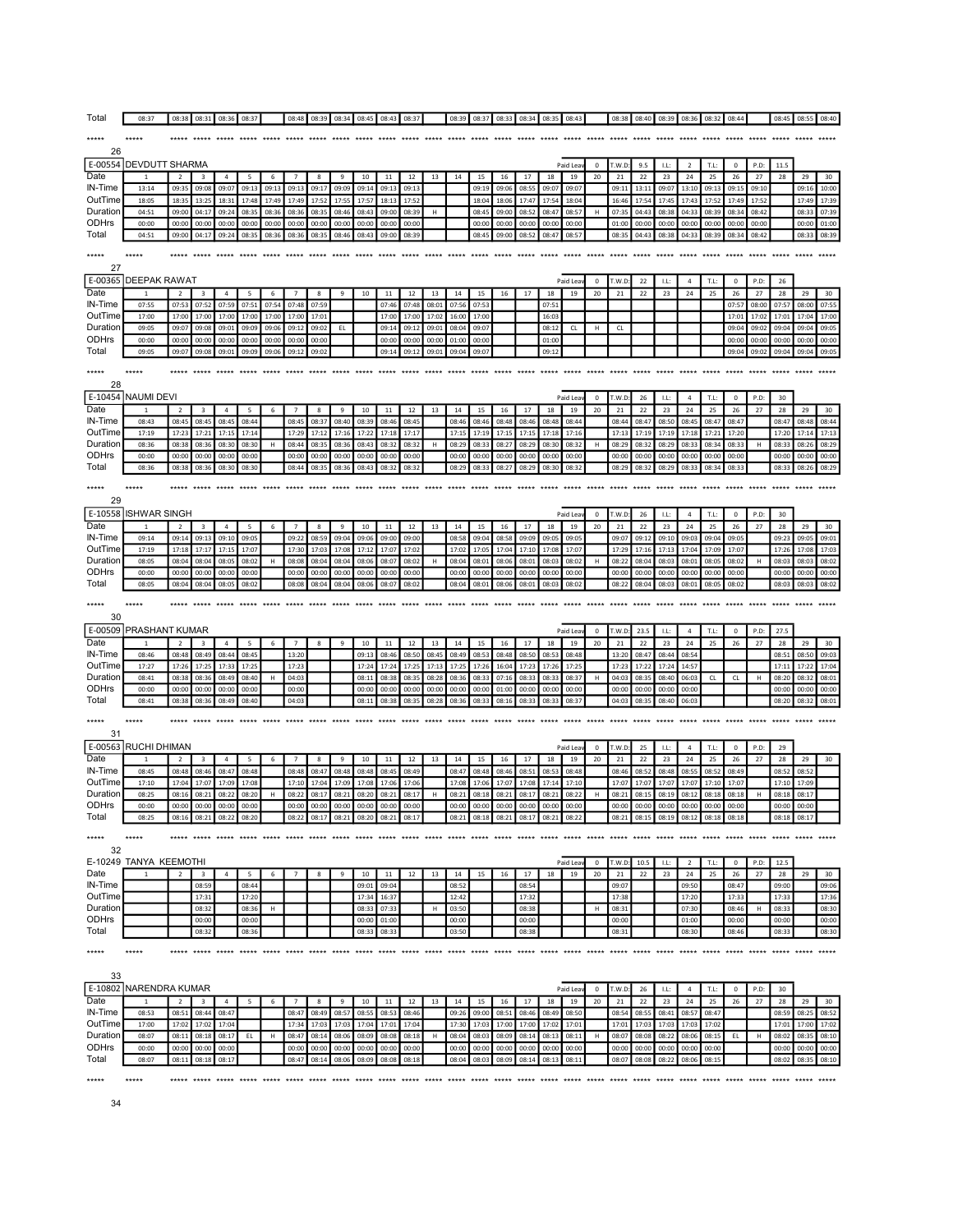| Total               | 08:37                                 | 08:38                   | 08:31          | 08:36               | 08:37          |                   | 08:48                   | 08:39          | 08:34          | 08:45          | 08:43           | 08:37                   |                | 08:39          | 08:37          | 08:33          | 08:34          | 08:35          | 08:43                         |                       | 08:38           | 08:40          | 08:39          | 08:36                | 08:32          | 08:44             |                | 08:45          | 08:55          | 08:40          |
|---------------------|---------------------------------------|-------------------------|----------------|---------------------|----------------|-------------------|-------------------------|----------------|----------------|----------------|-----------------|-------------------------|----------------|----------------|----------------|----------------|----------------|----------------|-------------------------------|-----------------------|-----------------|----------------|----------------|----------------------|----------------|-------------------|----------------|----------------|----------------|----------------|
| *****               |                                       |                         |                |                     |                |                   |                         |                |                |                |                 |                         |                |                |                |                |                |                |                               |                       |                 |                |                |                      |                |                   |                |                |                |                |
| 26                  |                                       |                         |                |                     |                |                   |                         |                |                |                |                 |                         |                |                |                |                |                |                |                               |                       |                 |                |                |                      |                |                   |                |                |                |                |
| E-00554<br>Date     | <b>DEVDUTT SHARMA</b><br>$\mathbf{1}$ | $\overline{2}$          | 3              | $\sqrt{4}$          | 5              | 6                 | $\overline{7}$          | 8              | 9              | $10\,$         | $11\,$          | 12                      | 13             | 14             | 15             | 16             | 17             | 18             | Paid Lea<br>19                | $\mathbf 0$<br>$20\,$ | T.W.D:<br>21    | 9.5<br>22      | LE:<br>23      | $\overline{2}$<br>24 | T.L:<br>25     | $\pmb{0}$<br>26   | P.D:<br>27     | 11.5<br>28     | 29             | 30             |
| IN-Time             | 13:14                                 | 09:35                   | 09:08          | 09:07               | 09:13          | 09:13             | 09:13                   | 09:17          | 09:09          | 09:14          | 09:13           | 09:1                    |                |                | 09:19          | 09:06          | 08:55          | 09:07          | 09:07                         |                       | 09:11           | 13:11          | 09:07          | 13:10                | 09:13          | 09:15             | 09:10          |                | 09:16          | 10:00          |
| OutTime             | 18:05                                 | 18:35                   | 13:25          | 18:31               | 17:48          | 17:49             | 17:49                   | 17:52          | 17:55          | 17:57          | 18:13           | 17:52                   |                |                | 18:04          | 18:06          | 17:47          | 17:54          | 18:04                         |                       | 16:46           | 17:54          | 17:45          | 17:43                | 17:52          | 17:49             | 17:52          |                | 17:49          | 17:39          |
| Duration<br>ODHrs   | 04:51<br>00:00                        | 09:00<br>00:00          | 04:17<br>00:00 | 09:24<br>00:00      | 08:35<br>00:00 | 08:36<br>00:00    | 08:36<br>00:00          | 08:35<br>00:00 | 08:46<br>00:00 | 08:43<br>00:00 | 09:00<br>00:00  | 08:39<br>00:00          | н              |                | 08:45<br>00:00 | 09:00<br>00:00 | 08:52<br>00:00 | 08:47<br>00:00 | 08:57<br>00:00                | H                     | 07:35<br>01:00  | 04:43<br>00:00 | 08:38<br>00:00 | 04:33<br>00:00       | 08:39<br>00:00 | 08:34<br>00:00    | 08:42<br>00:00 |                | 08:33<br>00:00 | 07:39<br>01:00 |
| Total               | 04:51                                 | 09:00                   | 04:17          | 09:24               | 08:35          | 08:36             | 08:36                   | 08:35          | 08:46          | 08:43          | 09:00           | 08:39                   |                |                | 08:45          | 09:00          | 08:52          | 08:47          | 08:57                         |                       | 08:35           | 04:43          | 08:38          | 04:33                | 08:39          | 08:34             | 08:42          |                | 08:33          | 08:39          |
| *****               | *****                                 | *****                   | $*****$        | *****               | *****          | *****             | $*****$                 | *****          | *****          | *****          |                 |                         |                |                | *****          | $****$         | *****          |                |                               |                       | *****           | *****          | *****          |                      |                |                   |                |                |                |                |
| 27                  |                                       |                         |                |                     |                |                   |                         |                |                |                |                 |                         |                |                |                |                |                |                |                               |                       |                 |                |                |                      |                |                   |                |                |                |                |
| E-00365             | <b>DEEPAK RAWAT</b>                   |                         |                |                     |                |                   |                         |                |                |                |                 |                         |                |                |                |                |                |                | Paid Lea                      | $\mathbf 0$           | T.W.D:          | 22             | LL:            | 4                    | T.L:           | $\pmb{0}$         | P.D:           | 26             |                |                |
| Date<br>IN-Time     | $\mathbf{1}$<br>07:55                 | $\overline{2}$<br>07:53 | 3<br>07:52     | $\sqrt{4}$<br>07:59 | 5<br>07:51     | 6<br>07:54        | $\overline{7}$<br>07:48 | 8<br>07:59     | 9              | $10\,$         | $11\,$<br>07:46 | 12<br>07:48             | 13<br>08:01    | 14<br>07:56    | 15<br>07:53    | 16             | 17             | 18<br>07:53    | 19                            | 20                    | $\bf{21}$       | 22             | 23             | 24                   | 25             | 26<br>07:57       | 27<br>08:00    | 28<br>07:57    | 29<br>08:00    | 30<br>07:55    |
| OutTime             | 17:00                                 | 17:00                   | 17:00          | 17:00               | 17:00          | 17:00             | 17:00                   | 17:01          |                |                | 17:00           | 17:00                   | 17:02          | 16:00          | 17:00          |                |                | 16:03          |                               |                       |                 |                |                |                      |                | 17:01             | 17:02          | 17:01          | 17:04          | 17:00          |
| Duration            | 09:05                                 | 09:07                   | 09:08          | 09:01               | 09:09          | 09:06             | 09:12                   | 09:02          | EL             |                | 09:14           | 09:12                   | 09:01          | 08:04          | 09:07          |                |                | 08:12          | CL                            | н                     | CL              |                |                |                      |                | 09:04             | 09:02          | 09:04          | 09:04          | 09:05          |
| ODHrs<br>Total      | 00:00<br>09:05                        | 00:00<br>09:07          | 00:00<br>09:08 | 00:00<br>09:01      | 00:00<br>09:09 | 00:00<br>09:06    | 00:00<br>09:12          | 00:00<br>09:02 |                |                | 00:00<br>09:14  | 00:00<br>09:12          | 00:00<br>09:01 | 01:00<br>09:04 | 00:00<br>09:07 |                |                | 01:00<br>09:12 |                               |                       |                 |                |                |                      |                | 00:00<br>09:04    | 00:00<br>09:02 | 00:00<br>09:04 | 00:00<br>09:04 | 00:00<br>09:05 |
| $*****$             | *****                                 |                         |                |                     |                |                   |                         |                |                |                |                 |                         |                |                |                |                |                |                |                               |                       |                 |                |                |                      |                | *****             |                |                |                |                |
| 28                  |                                       |                         |                |                     |                |                   |                         |                |                |                |                 |                         |                |                |                |                |                |                |                               |                       |                 |                |                |                      |                |                   |                |                |                |                |
|                     | E-10454 NAUMI DEVI                    |                         |                |                     |                |                   |                         |                |                |                |                 |                         |                |                |                |                |                |                | Paid Lea                      | $\mathbf 0$           | T.W.D:          | 26             | LL:            | $\overline{4}$       | T.L:           | $\mathbf 0$       | P.D:           | 30             |                |                |
| Date                |                                       | $\overline{2}$          | $\sqrt{3}$     | $\overline{4}$      | 5              | 6                 | $\overline{7}$          | 8              | 9              | 10             | $11\,$          | 12                      | 13             | 14             | 15             | 16             | 17             | 18             | 19                            | 20                    | 21              | 22             | 23             | 24                   | 25             | 26                | 27             | $\bf 28$       | 29             | 30             |
| IN-Time<br>OutTime  | 08:43<br>17:19                        | 08:45<br>17:23          | 08:45<br>17:21 | 08:45<br>17:15      | 08:44<br>17:14 |                   | 08:45<br>17:29          | 08:37<br>17:12 | 08:40<br>17:16 | 08:39<br>17:22 | 08:46<br>17:18  | 08:45<br>17:17          |                | 08:46<br>17:15 | 08:46<br>17:19 | 08:48<br>17:15 | 08:46<br>17:15 | 08:48<br>17:18 | 08:44<br>17:1                 |                       | 08:44<br>17:13  | 08:47<br>17:19 | 08:50<br>17:19 | 08:45<br>17:18       | 08:47<br>17:21 | 08:47<br>17:20    |                | 08:47<br>17:20 | 08:48<br>17:14 | 08:44<br>17:13 |
| Duration            | 08:36                                 | 08:38                   | 08:36          | 08:30               | 08:30          | H                 | 08:44                   | 08:35          | 08:36          | 08:43          | 08:32           | 08:32                   | Н              | 08:29          | 08:33          | 08:27          | 08:29          | 08:30          | 08:32                         | н                     | 08:29           | 08:32          | 08:29          | 08:33                | 08:34          | 08:33             | н              | 08:33          | 08:26          | 08:29          |
| <b>ODHrs</b>        | 00:00                                 | 00:00                   | 00:00          | 00:00               | 00:00          |                   | 00:00                   | 00:00          | 00:00          | 00:00          | 00:00           | 00:00                   |                | 00:00          | 00:00          | 00:00          | 00:00          | 00:00          | 00:00                         |                       | 00:00           | 00:00          | 00:00          | 00:00                | 00:00          | 00:00             |                | 00:00          | 00:00          | 00:00          |
| Total               | 08:36                                 | 08:38                   | 08:36          | 08:30               | 08:30          |                   | 08:44                   | 08:35          | 08:36          | 08:43          | 08:32           | 08:32                   |                | 08:29          | 08:33          | 08:27          | 08:29          | 08:30          | 08:32                         |                       | 08:29           | 08:32          | 08:29          | 08:33                | 08:34          | 08:33             |                | 08:33          | 08:26          | 08:29          |
| *****               |                                       | *****                   |                |                     |                |                   | *****                   |                |                |                |                 |                         |                |                |                |                |                |                |                               |                       | *****           | *****          |                |                      |                |                   |                | *****          |                |                |
| 29                  | E-10558  ISHWAR SINGH                 |                         |                |                     |                |                   |                         |                |                |                |                 |                         |                |                |                |                |                |                |                               |                       |                 |                |                |                      |                |                   |                |                |                |                |
| Date                |                                       | $\overline{2}$          | 3              | $\overline{4}$      | 5              | 6                 | $\overline{7}$          | 8              | 9              | 10             | 11              | $12\,$                  | 13             | 14             | 15             | 16             | 17             | 18             | Paid Lea<br>19                | $\mathbf 0$<br>20     | T.W.D:<br>21    | 26<br>22       | LL:<br>23      | $\overline{4}$<br>24 | T.L:<br>25     | $\mathbf 0$<br>26 | P.D<br>27      | 30<br>28       | 29             | 30             |
| IN-Time             | 09:14                                 | 09:14                   | 09:13          | 09:10               | 09:05          |                   | 09:22                   | 08:59          | 09:04          | 09:06          | 09:00           | 09:00                   |                | 08:58          | 09:04          | 08:58          | 09:09          | 09:05          | 09:09                         |                       | 09:07           | 09:12          | 09:10          | 09:03                | 09:04          | 09:05             |                | 09:23          | 09:05          | 09:01          |
| OutTime             | 17:19                                 | 17:18                   | 17:17          | 17:15               | 17:07          |                   | 17:30                   | 17:03          | 17:08          | 17:12          | 17:07           | 17:02                   |                | 17:02          | 17:05          | 17:04          | 17:10          | 17:08          | 17:07                         |                       | 17:29           | 17:16          | 17:13          | 17:04                | 17:09          | 17:07             |                | 17:26          | 17:08          | 17:03          |
| Duration<br>ODHrs   | 08:05<br>00:00                        | 08:04<br>00:00          | 08:04<br>00:00 | 08:05<br>00:00      | 08:02<br>00:00 | Н                 | 08:08<br>00:00          | 08:04<br>00:00 | 08:04<br>00:00 | 08:06<br>00:00 | 08:07<br>00:00  | 08:02<br>00:00          | н              | 08:04<br>00:00 | 08:01<br>00:00 | 08:06<br>00:00 | 08:01<br>00:00 | 08:03<br>00:00 | 08:02<br>00:00                | н                     | 08:22<br>00:00  | 08:04<br>00:00 | 08:03<br>00:00 | 08:01<br>00:00       | 08:05<br>00:00 | 08:02<br>00:00    | н              | 08:03<br>00:00 | 08:03<br>00:00 | 08:02<br>00:00 |
| Total               | 08:05                                 | 08:04                   | 08:04          | 08:05               | 08:02          |                   | 08:08                   | 08:04          | 08:04          | 08:06          | 08:07           | 08:02                   |                | 08:04          | 08:01          | 08:06          | 08:01          | 08:03          | 08:02                         |                       | 08:22           | 08:04          | 08:03          | 08:01                | 08:05          | 08:02             |                | 08:03          | 08:03          | 08:02          |
|                     |                                       |                         |                |                     |                |                   |                         |                |                |                |                 |                         |                |                |                |                |                |                |                               |                       |                 |                |                |                      |                |                   |                |                |                |                |
| $*****$             | *****                                 | *****                   |                |                     |                |                   |                         |                |                |                |                 |                         |                |                | *****          | *****          | *****          |                | *****                         |                       | *****           | *****          | *****          |                      |                |                   |                |                |                |                |
| 30                  |                                       |                         |                |                     |                |                   |                         |                |                |                |                 |                         |                |                |                |                |                |                |                               |                       |                 |                |                |                      |                |                   |                |                |                |                |
| E-00509             | <b>PRASHANT KUMAR</b>                 |                         |                |                     |                |                   |                         |                |                |                |                 |                         |                |                |                |                |                |                | Paid Lea                      | $\mathbf 0$           | T.W.D:          | 23.5           | LL:            | $\overline{4}$       | T.L:           | $\mathbf 0$       | P.D:           | 27.5           |                |                |
| Date                |                                       | $\overline{2}$          | 3              | 4                   | 5              |                   | $\overline{7}$          | 8              | 9              | 10             | 11              | 12                      | 13             | 14             | 15             | 16             | 17             | 18             | 19                            | 20                    | 21              | 22             | 23             | 24                   | 25             | 26                | 27             | 28             | 29             | 30             |
| IN-Time<br>OutTime  | 08:46<br>17:27                        | 08:48<br>17:26          | 08:49<br>17:25 | 08:44<br>17:33      | 08:45<br>17:25 |                   | 13:20<br>17:23          |                |                | 09:13<br>17:24 | 08:46<br>17:24  | 08:50<br>17:25          | 08:45<br>17:13 | 08:49<br>17:25 | 08:53<br>17:26 | 08:48<br>16:04 | 08:50<br>17:23 | 08:53<br>17:26 | 08:48<br>17:25                |                       | 13:20<br>17:23  | 08:47<br>17:22 | 08:44<br>17:24 | 08:54<br>14:57       |                |                   |                | 08:51<br>17:11 | 08:50<br>17:22 | 09:03<br>17:04 |
| Duration            | 08:41                                 | 08:38                   | 08:36          | 08:49               | 08:40          | H                 | 04:03                   |                |                | 08:11          | 08:38           | 08:35                   | 08:28          | 08:36          | 08:33          | 07:16          | 08:33          | 08:33          | 08:37                         | н                     | 04:03           | 08:35          | 08:40          | 06:03                | CL             | CL                | н              | 08:20          | 08:32          | 08:01          |
| ODHrs<br>Total      | 00:00<br>08:41                        | 00:00<br>08:38          | 00:00<br>08:36 | 00:00<br>08:49      | 00:00<br>08:40 |                   | 00:00<br>04:03          |                |                | 00:00<br>08:11 | 00:00<br>08:38  | 00:00<br>08:35          | 00:00<br>08:28 | 00:00<br>08:36 | 00:00<br>08:33 | 01:00<br>08:16 | 00:00<br>08:33 | 00:00<br>08:33 | 00:00<br>08:37                |                       | 00:00<br>04:03  | 00:00<br>08:35 | 00:00<br>08:40 | 00:00<br>06:03       |                |                   |                | 00:00<br>08:20 | 00:00<br>08:32 | 00:00<br>08:01 |
|                     |                                       |                         |                |                     |                |                   |                         |                |                |                |                 |                         |                |                |                |                |                |                |                               |                       |                 |                |                |                      |                |                   |                |                |                |                |
| *****<br>31         |                                       | *****                   |                |                     |                |                   |                         |                |                |                |                 |                         |                |                |                |                |                |                |                               |                       |                 |                |                |                      |                |                   |                |                |                |                |
|                     | E-00563 RUCHI DHIMAN                  |                         |                |                     |                |                   |                         |                |                |                |                 |                         |                |                |                |                |                |                | Paid Lea                      | $\mathbf 0$           | T.W.D:          | 25             | LL:            | $\overline{4}$       | T.L:           | $\mathbf 0$       | P.D            | 29             |                |                |
| Date                |                                       | $\overline{2}$          | 3              | 4                   | 5              | 6                 | $\overline{7}$          | 8              | 9              | 10             | 11              | 12                      | 13             | 14             | 15             | 16             | 17             | 18             | 19                            | 20                    | 21              | 22             | 23             | 24                   | 25             | 26                | 27             | 28             | 29             | 30             |
| IN-Time<br>OutTime  | 08:45<br>17:10                        | 08:48<br>17:04          | 08:46<br>17:07 | 08:47<br>17:09      | 08:48<br>17:08 |                   | 08:48<br>17:10          | 08:47<br>17:04 | 08:48<br>17:09 | 08:48<br>17:08 | 08:45<br>17:06  | 08:49<br>17:06          |                | 08:47<br>17:08 | 08:48<br>17:06 | 08:46<br>17:07 | 08:51<br>17:08 | 08:53<br>17:14 | 08:48<br>17:10                |                       | 08:46<br>17:07  | 08:52<br>17:07 | 08:48<br>17:07 | 08:55<br>17:07       | 08:52<br>17:10 | 08:49<br>17:07    |                | 08:52<br>17:10 | 08:52<br>17:09 |                |
| Duration            | 08:25                                 | 08:16                   | 08:21          | 08:22               | 08:20          | H                 | 08:22                   | 08:17          | 08:21          | 08:20          | 08:21           | 08:17                   | н              | 08:21          | 08:18          | 08:21          | 08:17          | 08:21          | 08:22                         | н                     | 08:21           | 08:15          | 08:19          | 08:12                | 08:18          | 08:18             | н              | 08:18          | 08:17          |                |
| <b>ODHrs</b>        | 00:00                                 | 00.0                    |                |                     | nn-n           |                   |                         |                | nn-n           | nn-i           |                 | nn·n                    |                |                |                |                |                |                | non                           |                       | no <sub>0</sub> |                | nn·r           | nn-r                 |                |                   |                |                |                |                |
| Total               | 08:25                                 | 08:16                   | 08:21          | 08:22               | 08:20          |                   | 08:22                   | 08:17          | 08:21          | 08:20          | 08:21           | 08:17                   |                | 08:21          | 08:18          | 08:21          | 08:17          | 08:21          | 08:22                         |                       | 08:21           | 08:15          | 08:19          | 08:12                | 08:18          | 08:18             |                | 08:18          | 08:17          |                |
| *****               |                                       |                         |                |                     | ***** *****    |                   |                         |                |                |                |                 | ***** ***** ***** ***** |                |                |                |                |                |                | ***** ***** ***** ***** ***** |                       |                 |                |                |                      |                | ***** *****       |                |                |                |                |
| 32                  | E-10249 TANYA KEEMOTHI                |                         |                |                     |                |                   |                         |                |                |                |                 |                         |                |                |                |                |                |                | Paid Lea                      | $\mathbf 0$           | T.W.D:          | 10.5           | LL:            | $\overline{2}$       | T.L:           | $\mathbf 0$       | P.D:           | 12.5           |                |                |
| Date                | $\mathbf{1}$                          | $\overline{2}$          | 3              | 4                   | 5              | 6                 | $\overline{7}$          | 8              | 9              | 10             | 11              | 12                      | 13             | 14             | 15             | 16             | 17             | 18             | 19                            | 20                    | 21              | 22             | 23             | 24                   | 25             | 26                | 27             | 28             | 29             | 30             |
| IN-Time             |                                       |                         | 08:59          |                     | 08:44          |                   |                         |                |                | 09:01          | 09:04           |                         |                | 08:52          |                |                | 08:54          |                |                               |                       | 09:07           |                |                | 09:50                |                | 08:4              |                | 09:00          |                | 09:06          |
| OutTime<br>Duration |                                       |                         | 17:31<br>08:32 |                     | 17:20<br>08:36 | н                 |                         |                |                | 17:34<br>08:3  | 16:37<br>07:33  |                         | H              | 12:42<br>03:50 |                |                | 17:32<br>08:38 |                |                               | н                     | 17:38<br>08:31  |                |                | 17:20<br>07:30       |                | 17:33<br>08:46    | н              | 17:33<br>08:33 |                | 17:36<br>08:30 |
| <b>ODHrs</b>        |                                       |                         | 00:00          |                     | 00:00          |                   |                         |                |                | 00:00          | 01:00           |                         |                | 00:00          |                |                | 00:00          |                |                               |                       | 00:00           |                |                | 01:00                |                | 00:00             |                | 00:00          |                | 00:00          |
| Total               |                                       |                         | 08:32          |                     | 08:36          |                   |                         |                |                | 08:33          | 08:33           |                         |                | 03:50          |                |                | 08:38          |                |                               |                       | 08:31           |                |                | 08:30                |                | 08:46             |                | 08:33          |                | 08:30          |
| *****               |                                       | *****                   | ***** *****    |                     |                | ***** ***** ***** |                         | ***** *****    |                |                |                 |                         |                |                |                |                |                |                |                               |                       |                 |                |                |                      |                |                   |                |                | *****          |                |
|                     |                                       |                         |                |                     |                |                   |                         |                |                |                |                 |                         |                |                |                |                |                |                |                               |                       |                 |                |                |                      |                |                   |                |                |                |                |
| 33                  | E-10802 NARENDRA KUMAR                |                         |                |                     |                |                   |                         |                |                |                |                 |                         |                |                |                |                |                |                | Paid Lea                      | $\mathbf 0$           | T.W.D:          | 26             | LL:            | $\overline{4}$       | T.L:           | $\mathbf 0$       | P.D:           | 30             |                |                |
| Date                |                                       | $\overline{2}$          | 3              | $\overline{4}$      | 5              | 6                 | $\overline{7}$          | 8              | 9              | 10             | 11              | 12                      | 13             | 14             | 15             | 16             | 17             | 18             | 19                            | 20                    | 21              | 22             | 23             | 24                   | 25             | 26                | 27             | 28             | 29             | 30             |
| IN-Time             | 08:53                                 | 08:51                   | 08:44          | 08:47               |                |                   | 08:47                   | 08:49          | 08:57          | 08:55          | 08:53           | 08:46                   |                | 09:26          | 09:00          | 08:51          | 08:46          | 08:49          | 08:50                         |                       | 08:54           | 08:55          | 08:41          | 08:57                | 08:47          |                   |                | 08:59          | 08:25          | 08:52          |
| OutTime<br>Duration | 17:00<br>08:07                        | 17:02<br>08:11          | 17:02<br>08:18 | 17:04<br>08:17      | EL.            | $\,$ H            | 17:34<br>08:47          | 17:03<br>08:14 | 17:03<br>08:06 | 17:04<br>08:09 | 17:01<br>08:08  | 17:04<br>08:18          | н              | 17:30<br>08:04 | 17:03<br>08:03 | 17:00<br>08:09 | 17:00<br>08:14 | 17:02<br>08:13 | 17:01<br>08:11                | н                     | 17:01<br>08:07  | 17:03<br>08:08 | 17:03<br>08:22 | 17:03<br>08:06       | 17:02<br>08:15 | EL.               | $\mathsf H$    | 17:01<br>08:02 | 17:00<br>08:35 | 17:02<br>08:10 |
| ODHrs               | 00:00                                 | 00:00                   | 00:00          | 00:00               |                |                   | 00:00                   | 00:00          | 00:00          | 00:00          | 00:00           | 00:00                   |                | 00:00          | 00:00          | 00:00          | 00:00          | 00:00          | 00:00                         |                       | 00:00           | 00:00          | 00:00          | 00:00                | 00:00          |                   |                | 00:00          | 00:00          | 00:00          |
| Total               | 08:07                                 | 08:11                   | 08:18          | 08:17               |                |                   | 08:47                   | 08:14          | 08:06          | 08:09          | 08:08           | 08:18                   |                | 08:04          | 08:03          | 08:09          | 08:14          | 08:13          | 08:11                         |                       | 08:07           | 08:08          | 08:22          | 08:06                | 08:15          |                   |                | 08:02          | 08:35          | 08:10          |